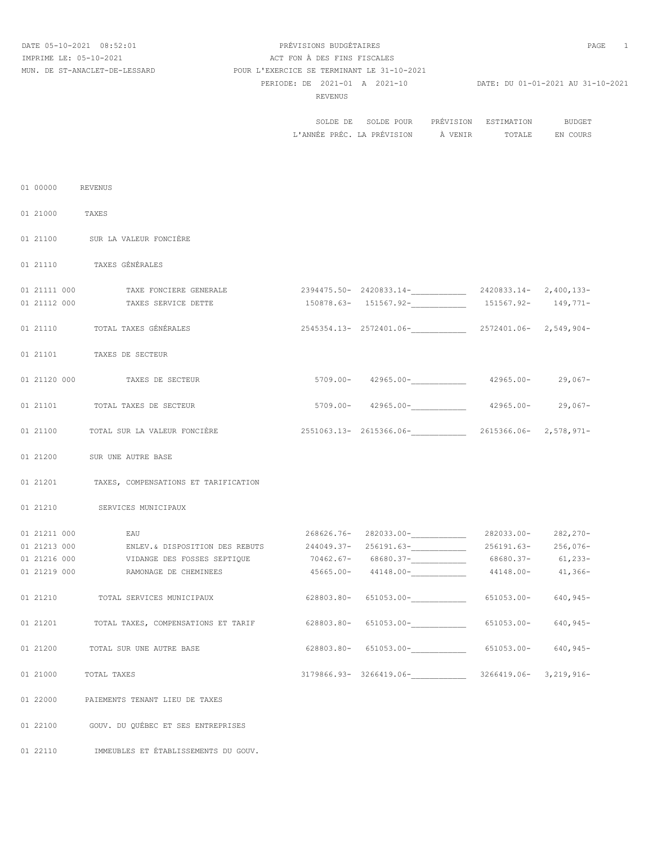# DATE 05-10-2021 08:52:01 PRÉVISIONS BUDGÉTAIRES PAGE 1 PERIODE: DE 2021-01 A 2021-10 DATE: DU 01-01-2021 AU 31-10-2021 REVENUS PREVENUS PREVENUS PREVENUS PREVENUS PREVENUS PREVENUS PREVENUS PREVENUS PREVENUS PREVENUS PREVENUS PRE IMPRIME LE: 05-10-2021 <br>
ACT FON À DES FINS FISCALES MUN. DE ST-ANACLET-DE-LESSARD POUR L'EXERCICE SE TERMINANT LE 31-10-2021

| BUDGET   | ESTIMATION | PRÉVISION | SOLDE DE SOLDE POUR |                                    |
|----------|------------|-----------|---------------------|------------------------------------|
| EN COURS | TOTALE     |           |                     | L'ANNÉE PRÉC. LA PRÉVISION À VENIR |

| 01 00000     | REVENUS                     |                                                                                                 |                                                        |            |              |
|--------------|-----------------------------|-------------------------------------------------------------------------------------------------|--------------------------------------------------------|------------|--------------|
| 01 21000     | TAXES                       |                                                                                                 |                                                        |            |              |
|              |                             | 01 21100 SUR LA VALEUR FONCIÈRE                                                                 |                                                        |            |              |
|              | 01 21110 TAXES GÉNÉRALES    |                                                                                                 |                                                        |            |              |
| 01 21111 000 |                             | TAXE FONCIERE GENERALE                                                                          | 2394475.50-2420833.14-2420833.14-2420833.14-2,400,133- |            |              |
| 01 21112 000 |                             | TAXES SERVICE DETTE                                                                             | $150878.63 - 151567.92 - 151567.92 - 149,771 -$        |            |              |
|              |                             | 01 21110 TOTAL TAXES GÉNÉRALES                                                                  | $2545354.13 - 2572401.06 -$<br>2572401.06- 2,549,904-  |            |              |
|              | 01 21101 TAXES DE SECTEUR   |                                                                                                 |                                                        |            |              |
|              |                             | 01 21120 000 TAXES DE SECTEUR                                                                   | $5709.00 - 42965.00  42965.00 - 29,067 -$              |            |              |
|              |                             | 01 21101 TOTAL TAXES DE SECTEUR                                                                 | $5709.00 - 42965.00  42965.00 - 42965.00 - 29,067 -$   |            |              |
|              |                             | 01 21100 TOTAL SUR LA VALEUR FONCIÈRE 2551063.13-2615366.06-_____________ 2615366.06-2,578,971- |                                                        |            |              |
|              | 01 21200 SUR UNE AUTRE BASE |                                                                                                 |                                                        |            |              |
|              |                             | 01 21201 TAXES, COMPENSATIONS ET TARIFICATION                                                   |                                                        |            |              |
|              |                             | 01 21210 SERVICES MUNICIPAUX                                                                    |                                                        |            |              |
| 01 21211 000 | EAU                         |                                                                                                 | $268626.76 - 282033.00 -$ 282033.00- 282,270-          |            |              |
| 01 21213 000 |                             | ENLEV.& DISPOSITION DES REBUTS 244049.37-256191.63- 256191.63-256191.63- 256,076-               |                                                        |            |              |
|              |                             |                                                                                                 |                                                        |            |              |
| 01 21219 000 |                             | RAMONAGE DE CHEMINEES                                                                           | $45665.00 - 44148.00 - 44148.00 - 41,366 -$            |            |              |
|              |                             | 01 21210 TOTAL SERVICES MUNICIPAUX                                                              | $628803.80 - 651053.00 -$ 651053.00-<br>651053.00-     |            | $640, 945 -$ |
|              |                             | 01 21201 TOTAL TAXES, COMPENSATIONS ET TARIF 628803.80- 651053.00- 651053.00- 651053.00-        |                                                        |            | $640, 945 -$ |
| 01 21200     |                             | TOTAL SUR UNE AUTRE BASE                                                                        | $628803.80 - 651053.00 -$                              | 651053.00- | $640, 945 -$ |
| 01 21000     | TOTAL TAXES                 |                                                                                                 | 3179866.93-3266419.06-3266419.06-3,219,916-            |            |              |
| 01 22000     |                             | PAIEMENTS TENANT LIEU DE TAXES                                                                  |                                                        |            |              |
| 01 22100     |                             | GOUV. DU QUÉBEC ET SES ENTREPRISES                                                              |                                                        |            |              |
| 01 22110     |                             | IMMEUBLES ET ÉTABLISSEMENTS DU GOUV.                                                            |                                                        |            |              |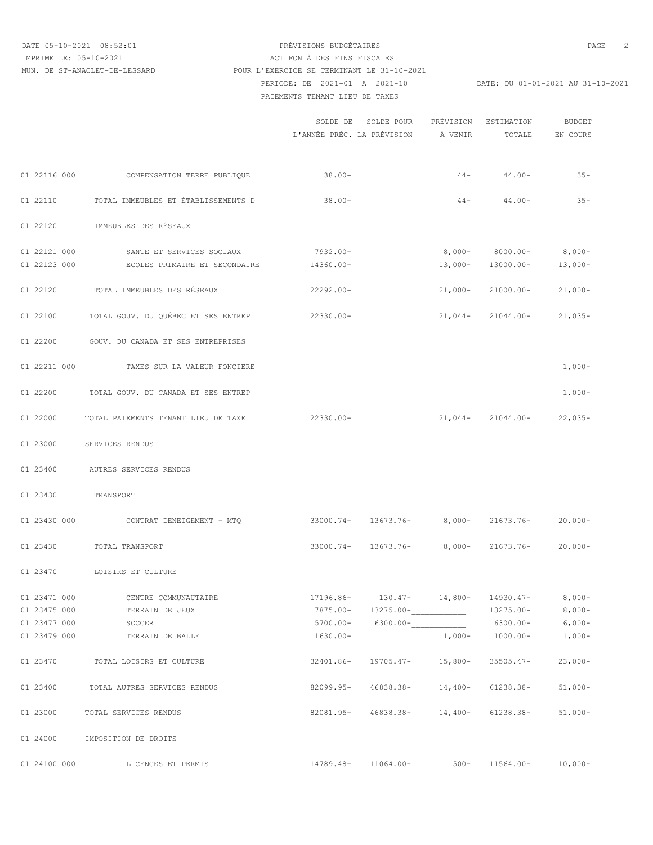DATE 05-10-2021 08:52:01 PRÉVISIONS BUDGÉTAIRES PAGE 2

# PERIODE: DE 2021-01 A 2021-10 DATE: DU 01-01-2021 AU 31-10-2021 PAIEMENTS TENANT LIEU DE TAXES IMPRIME LE: 05-10-2021 ACT FON À DES FINS FISCALES MUN. DE ST-ANACLET-DE-LESSARD POUR L'EXERCICE SE TERMINANT LE 31-10-2021

|              |                                          | SOLDE DE                 | SOLDE POUR<br>L'ANNÉE PRÉC. LA PRÉVISION   | PRÉVISION<br>À VENIR | ESTIMATION<br>TOTALE   | <b>BUDGET</b><br>EN COURS |
|--------------|------------------------------------------|--------------------------|--------------------------------------------|----------------------|------------------------|---------------------------|
|              | 01 22116 000 COMPENSATION TERRE PUBLIQUE | $38.00 -$                |                                            | $44 -$               | $44.00 -$              | $35 -$                    |
| 01 22110     | TOTAL IMMEUBLES ET ÉTABLISSEMENTS D      | $38.00 -$                |                                            | $44-$                | $44.00 -$              | $35 -$                    |
| 01 22120     | IMMEUBLES DES RÉSEAUX                    |                          |                                            |                      |                        |                           |
|              |                                          |                          |                                            |                      |                        |                           |
| 01 22121 000 | SANTE ET SERVICES SOCIAUX                | 7932.00-                 |                                            |                      | $8,000-8000.00-$       | $8,000-$                  |
| 01 22123 000 | ECOLES PRIMAIRE ET SECONDAIRE            | 14360.00-                |                                            |                      | $13,000 - 13000.00 -$  | $13,000-$                 |
| 01 22120     | TOTAL IMMEUBLES DES RÉSEAUX              | 22292.00-                |                                            | $21,000-$            | 21000.00-              | $21,000-$                 |
| 01 22100     | TOTAL GOUV. DU QUÉBEC ET SES ENTREP      | $22330.00 -$             |                                            | $21,044-$            | 21044.00-              | $21,035-$                 |
| 01 22200     | GOUV. DU CANADA ET SES ENTREPRISES       |                          |                                            |                      |                        |                           |
| 01 22211 000 | TAXES SUR LA VALEUR FONCIERE             |                          |                                            |                      |                        | $1,000-$                  |
| 01 22200     | TOTAL GOUV. DU CANADA ET SES ENTREP      |                          |                                            |                      |                        | $1,000-$                  |
| 01 22000     | TOTAL PAIEMENTS TENANT LIEU DE TAXE      | 22330.00-                |                                            |                      | $21,044 - 21044.00 -$  | $22,035-$                 |
| 01 23000     | SERVICES RENDUS                          |                          |                                            |                      |                        |                           |
| 01 23400     | AUTRES SERVICES RENDUS                   |                          |                                            |                      |                        |                           |
| 01 23430     | TRANSPORT                                |                          |                                            |                      |                        |                           |
|              | 01 23430 000 CONTRAT DENEIGEMENT - MTQ   |                          | $33000.74 - 13673.76 - 8,000 - 21673.76 -$ |                      |                        | $20,000-$                 |
| 01 23430     | TOTAL TRANSPORT                          | $33000.74-$              |                                            | $13673.76 - 8,000 -$ | 21673.76-              | $20,000-$                 |
| 01 23470     | LOISIRS ET CULTURE                       |                          |                                            |                      |                        |                           |
| 01 23471 000 |                                          |                          |                                            | $130.47 - 14,800 -$  |                        |                           |
| 01 23475 000 | CENTRE COMMUNAUTAIRE<br>TERRAIN DE JEUX  | 17196.86-<br>$7875.00 -$ | 13275.00-                                  |                      | 14930.47-<br>13275.00- | $8,000-$<br>$8,000-$      |
| 01 23477 000 | SOCCER                                   | $5700.00 -$              |                                            | $6300.00 -$          | $6300.00 -$            | $6,000-$                  |
| 01 23479 000 | TERRAIN DE BALLE                         | $1630.00 -$              |                                            | $1,000-$             | $1000.00 -$            | $1,000-$                  |
|              |                                          |                          |                                            |                      |                        |                           |
| 01 23470     | TOTAL LOISIRS ET CULTURE                 | 32401.86-                | 19705.47-                                  | $15,800-$            | $35505.47-$            | $23,000-$                 |
| 01 23400     | TOTAL AUTRES SERVICES RENDUS             | 82099.95-                | 46838.38-                                  | $14,400-$            | 61238.38-              | $51,000-$                 |
| 01 23000     | TOTAL SERVICES RENDUS                    | 82081.95-                | 46838.38-                                  | 14,400-              | 61238.38-              | $51,000-$                 |
| 01 24000     | IMPOSITION DE DROITS                     |                          |                                            |                      |                        |                           |
| 01 24100 000 | LICENCES ET PERMIS                       | 14789.48-                | $11064.00 -$                               | $500 -$              | $11564.00-$            | $10,000-$                 |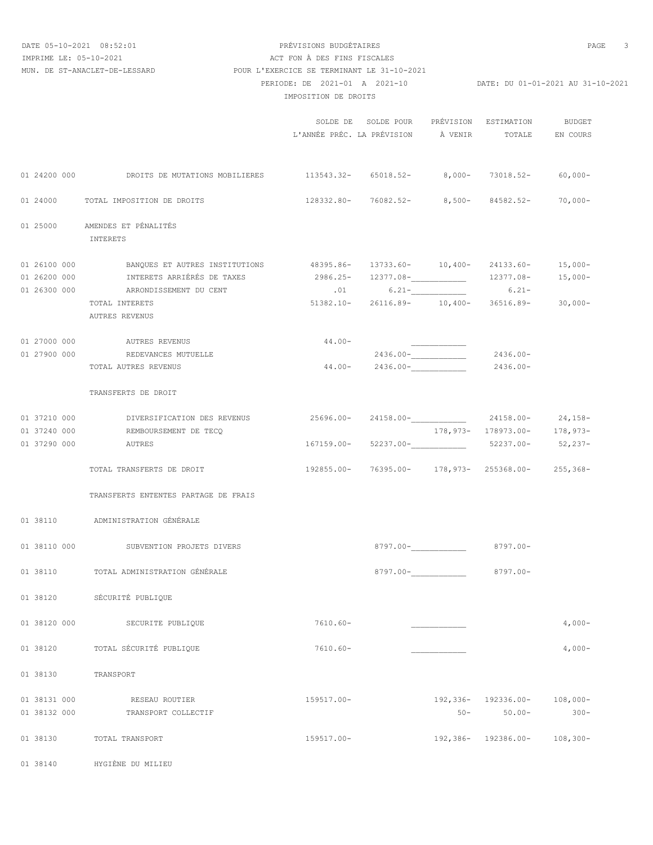# DATE 05-10-2021 08:52:01 PRÉVISIONS BUDGÉTAIRES PAGE 3 PERIODE: DE 2021-01 A 2021-10 DATE: DU 01-01-2021 AU 31-10-2021 IMPOSITION DE DROITS IMPRIME LE: 05-10-2021 <br>
ACT FON À DES FINS FISCALES MUN. DE ST-ANACLET-DE-LESSARD POUR L'EXERCICE SE TERMINANT LE 31-10-2021

|              |                                                                                           |                                                | SOLDE DE SOLDE POUR PRÉVISION ESTIMATION<br>$\tt L'ANNÉE PRÉC. LA PRÉVISION$ $\tt\AA$ VENIR $\tt\tt TOTALE$ EN COURS |                      |                                | BUDGET     |
|--------------|-------------------------------------------------------------------------------------------|------------------------------------------------|----------------------------------------------------------------------------------------------------------------------|----------------------|--------------------------------|------------|
|              | 01 24200 000 CROITS DE MUTATIONS MOBILIERES 113543.32- 65018.52- 8,000- 73018.52- 60,000- |                                                |                                                                                                                      |                      |                                |            |
|              | 01 24000 TOTAL IMPOSITION DE DROITS                                                       |                                                | $128332.80 - 76082.52 - 8,500 - 84582.52 - 70,000 -$                                                                 |                      |                                |            |
|              | 01 25000 AMENDES ET PÉNALITÉS<br>INTERETS                                                 |                                                |                                                                                                                      |                      |                                |            |
|              | 01 26100 000 BANQUES ET AUTRES INSTITUTIONS 48395.86- 13733.60- 10,400- 24133.60- 15,000- |                                                |                                                                                                                      |                      |                                |            |
|              | 01 26200 000 INTERETS ARRIÉRÉS DE TAXES                                                   | 2986.25- 12377.08- 12377.08- 12377.08- 15,000- |                                                                                                                      |                      |                                |            |
|              | 01 26300 000 ARRONDISSEMENT DU CENT                                                       |                                                | $.01$ 6.21-2000 6.21-                                                                                                |                      |                                |            |
|              | TOTAL INTERETS<br>AUTRES REVENUS                                                          |                                                | 51382.10- 26116.89- 10,400- 36516.89- 30,000-                                                                        |                      |                                |            |
|              | 01 27000 000 AUTRES REVENUS                                                               | 44.00-                                         |                                                                                                                      |                      |                                |            |
|              | 01 27900 000 REDEVANCES MUTUELLE                                                          |                                                | $2436.00 -$ 2436.00-                                                                                                 |                      |                                |            |
|              | TOTAL AUTRES REVENUS                                                                      |                                                | $44.00 - 2436.00 -$ 2436.00-                                                                                         |                      |                                |            |
|              | TRANSFERTS DE DROIT                                                                       |                                                |                                                                                                                      |                      |                                |            |
|              | 01 37210 000 DIVERSIFICATION DES REVENUS 25696.00- 24158.00- 24158.00- 24158.00- 24,158-  |                                                |                                                                                                                      |                      |                                |            |
|              | 01 37240 000 REMBOURSEMENT DE TECQ                                                        |                                                |                                                                                                                      |                      | 178, 973- 178973.00- 178, 973- |            |
|              | 01 37290 000 AUTRES                                                                       |                                                | $167159.00 - 52237.00  52237.00 - 52237.00 - 52,237 -$                                                               |                      |                                |            |
|              | TOTAL TRANSFERTS DE DROIT                                                                 |                                                | 192855.00- 76395.00- 178,973- 255368.00- 255,368-                                                                    |                      |                                |            |
|              | TRANSFERTS ENTENTES PARTAGE DE FRAIS                                                      |                                                |                                                                                                                      |                      |                                |            |
|              | 01 38110 ADMINISTRATION GÉNÉRALE                                                          |                                                |                                                                                                                      |                      |                                |            |
|              | 01 38110 000 SUBVENTION PROJETS DIVERS                                                    |                                                |                                                                                                                      |                      | 8797.00-                       |            |
|              | 01 38110 TOTAL ADMINISTRATION GÉNÉRALE                                                    |                                                |                                                                                                                      | $8797.00 -$ 8797.00- |                                |            |
| 01 38120     | SECURITE PUBLIQUE                                                                         |                                                |                                                                                                                      |                      |                                |            |
| 01 38120 000 | SECURITE PUBLIQUE                                                                         | $7610.60 -$                                    |                                                                                                                      |                      |                                | $4,000-$   |
| 01 38120     | TOTAL SÉCURITÉ PUBLIQUE                                                                   | $7610.60 -$                                    |                                                                                                                      |                      |                                | $4,000-$   |
| 01 38130     | TRANSPORT                                                                                 |                                                |                                                                                                                      |                      |                                |            |
| 01 38131 000 | RESEAU ROUTIER                                                                            | 159517.00-                                     |                                                                                                                      |                      | 192,336- 192336.00-            | $108,000-$ |
| 01 38132 000 | TRANSPORT COLLECTIF                                                                       |                                                |                                                                                                                      |                      | $50-$<br>$50.00 -$             | $300 -$    |
| 01 38130     | TOTAL TRANSPORT                                                                           | 159517.00-                                     |                                                                                                                      |                      | $192,386 - 192386.00 -$        | $108,300-$ |

01 38140 HYGIÈNE DU MILIEU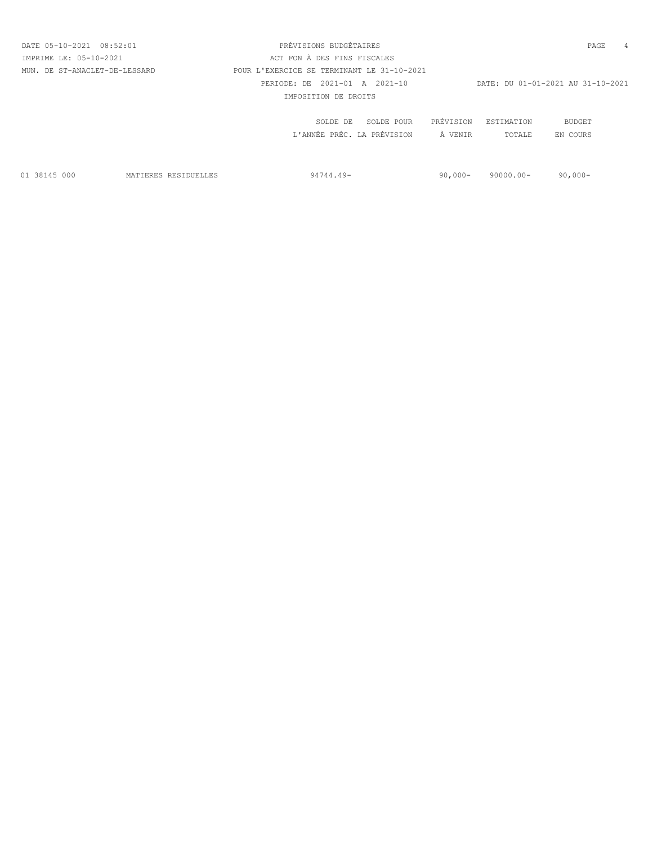| DATE 05-10-2021 08:52:01      | PRÉVISIONS BUDGÉTAIRES                     |           |            | PAGE                              | $\overline{4}$ |
|-------------------------------|--------------------------------------------|-----------|------------|-----------------------------------|----------------|
| IMPRIME LE: 05-10-2021        | ACT FON À DES FINS FISCALES                |           |            |                                   |                |
| MUN. DE ST-ANACLET-DE-LESSARD | POUR L'EXERCICE SE TERMINANT LE 31-10-2021 |           |            |                                   |                |
|                               | PERIODE: DE 2021-01 A 2021-10              |           |            | DATE: DU 01-01-2021 AU 31-10-2021 |                |
|                               | IMPOSITION DE DROITS                       |           |            |                                   |                |
|                               | SOLDE POUR<br>SOLDE DE                     | PRÉVISION | ESTIMATION | BUDGET                            |                |
|                               | L'ANNÉE PRÉC. LA PRÉVISION                 | À VENTR   | TOTALE     | EN COURS                          |                |
|                               |                                            |           |            |                                   |                |

01 38145 000 MATIERES RESIDUELLES 94744.49- 90,000- 90000.00- 90,000-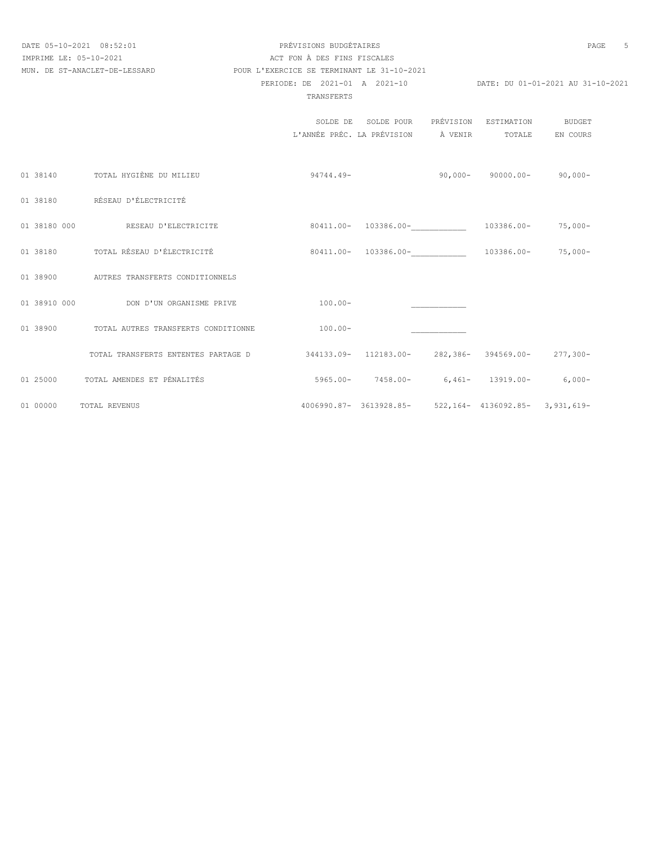# DATE 05-10-2021 08:52:01 PRÉVISIONS BUDGÉTAIRES<br>
TMPRIME I.E: 05-10-2021 PAGE 5 PERIODE: DE 2021-01 A 2021-10 DATE: DU 01-01-2021 AU 31-10-2021 IMPRIME LE: 05-10-2021 ACT FON À DES FINS FISCALES MUN. DE ST-ANACLET-DE-LESSARD POUR L'EXERCICE SE TERMINANT LE 31-10-2021

#### TRANSFERTS

|              |                                          |                                                    | SOLDE DE SOLDE POUR                                     | PRÉVISION | ESTIMATION                     | BUDGET   |
|--------------|------------------------------------------|----------------------------------------------------|---------------------------------------------------------|-----------|--------------------------------|----------|
|              |                                          | L'ANNÉE PRÉC. LA PRÉVISION                         |                                                         | À VENIR   | TOTALE                         | EN COURS |
|              |                                          |                                                    |                                                         |           |                                |          |
|              |                                          |                                                    |                                                         |           |                                |          |
|              | 01 38140 TOTAL HYGIÈNE DU MILIEU         | 94744.49-                                          |                                                         |           | $90,000 - 90000.00 - 90,000 -$ |          |
|              |                                          |                                                    |                                                         |           |                                |          |
|              |                                          |                                                    |                                                         |           |                                |          |
|              | 01 38180 RÉSEAU D'ÉLECTRICITÉ            |                                                    |                                                         |           |                                |          |
|              |                                          |                                                    |                                                         |           |                                |          |
| 01 38180 000 | RESEAU D'ELECTRICITE                     |                                                    | 80411.00- 103386.00-                                    |           | 103386.00- 75,000-             |          |
|              |                                          |                                                    |                                                         |           |                                |          |
| 01 38180     | TOTAL RÉSEAU D'ÉLECTRICITÉ               |                                                    | 80411.00- 103386.00-                                    |           | 103386.00- 75,000-             |          |
|              |                                          |                                                    |                                                         |           |                                |          |
|              | 01 38900 AUTRES TRANSFERTS CONDITIONNELS |                                                    |                                                         |           |                                |          |
|              |                                          |                                                    |                                                         |           |                                |          |
| 01 38910 000 | DON D'UN ORGANISME PRIVE                 | $100.00 -$                                         |                                                         |           |                                |          |
|              |                                          |                                                    |                                                         |           |                                |          |
| 01 38900     | TOTAL AUTRES TRANSFERTS CONDITIONNE      | $100.00 -$                                         |                                                         |           |                                |          |
|              |                                          |                                                    |                                                         |           |                                |          |
|              | TOTAL TRANSFERTS ENTENTES PARTAGE D      | 344133.09- 112183.00- 282,386- 394569.00- 277,300- |                                                         |           |                                |          |
|              |                                          |                                                    |                                                         |           |                                |          |
| 01 25000     | TOTAL AMENDES ET PÉNALITÉS               |                                                    | $5965.00-7458.00-6,461-13919.00-6,000-$                 |           |                                |          |
|              |                                          |                                                    |                                                         |           |                                |          |
| 01 00000     | TOTAL REVENUS                            |                                                    | 4006990.87- 3613928.85- 522,164- 4136092.85- 3,931,619- |           |                                |          |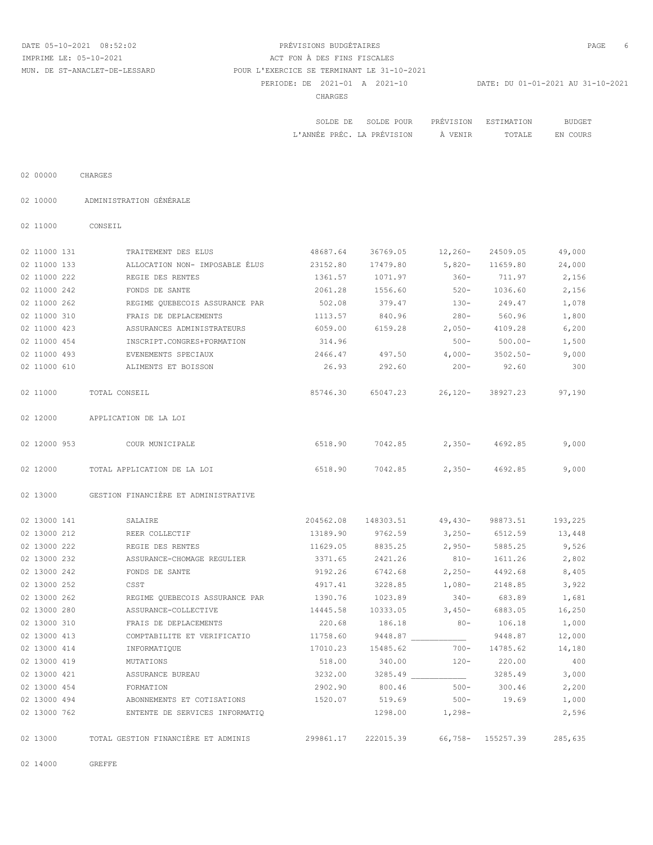# DATE 05-10-2021 08:52:02 PRÉVISIONS BUDGÉTAIRES PAGE 6 PERIODE: DE 2021-01 A 2021-10 DATE: DU 01-01-2021 AU 31-10-2021 CHARGES IMPRIME LE: 05-10-2021 ACT FON À DES FINS FISCALES MUN. DE ST-ANACLET-DE-LESSARD POUR L'EXERCICE SE TERMINANT LE 31-10-2021

| <b>BUDGE</b> | TON<br>$\mathbf{E}$<br>…w∆ ⊞⊤∩                                                            | <b>REAL</b><br>PRÉV | POUR<br>.DE.            |                                                                                                                                                             |
|--------------|-------------------------------------------------------------------------------------------|---------------------|-------------------------|-------------------------------------------------------------------------------------------------------------------------------------------------------------|
| $T+1$<br>.   | TOTALE<br>the contract of the contract of the contract of the contract of the contract of | <b>VENTE</b>        | PREVISION<br>. $\Delta$ | the contract of the contract of the contract of the contract of the contract of the contract of the contract of<br>アヤサム<br>'' ANNÉE<br>$\sim$ $\sim$ $\sim$ |

02 00000 CHARGES

02 10000 ADMINISTRATION GÉNÉRALE

02 11000 CONSEIL

| 02 11000 131 | TRAITEMENT DES ELUS                  | 48687.64  | 36769.05  | $12,260-$ | 24509.05                    | 49,000  |
|--------------|--------------------------------------|-----------|-----------|-----------|-----------------------------|---------|
| 02 11000 133 | ALLOCATION NON- IMPOSABLE ÉLUS       | 23152.80  | 17479.80  | 5,820-    | 11659.80                    | 24,000  |
| 02 11000 222 | REGIE DES RENTES                     | 1361.57   | 1071.97   | $360 -$   | 711.97                      | 2,156   |
| 02 11000 242 | FONDS DE SANTE                       | 2061.28   | 1556.60   | $520 -$   | 1036.60                     | 2,156   |
| 02 11000 262 | REGIME OUEBECOIS ASSURANCE PAR       | 502.08    | 379.47    | $130 -$   | 249.47                      | 1,078   |
| 02 11000 310 | FRAIS DE DEPLACEMENTS                | 1113.57   | 840.96    | $280-$    | 560.96                      | 1,800   |
| 02 11000 423 | ASSURANCES ADMINISTRATEURS           | 6059.00   | 6159.28   | $2,050-$  | 4109.28                     | 6,200   |
| 02 11000 454 | INSCRIPT.CONGRES+FORMATION           | 314.96    |           | $500 -$   | $500.00 -$                  | 1,500   |
| 02 11000 493 | EVENEMENTS SPECIAUX                  | 2466.47   | 497.50    | $4,000-$  | $3502.50 -$                 | 9,000   |
| 02 11000 610 | ALIMENTS ET BOISSON                  | 26.93     | 292.60    | $200 -$   | 92.60                       | 300     |
| 02 11000     | TOTAL CONSEIL                        | 85746.30  | 65047.23  | $26,120-$ | 38927.23                    | 97,190  |
| 02 12000     | APPLICATION DE LA LOI                |           |           |           |                             |         |
| 02 12000 953 | COUR MUNICIPALE                      | 6518.90   | 7042.85   | $2,350-$  | 4692.85                     | 9,000   |
| 02 12000     | TOTAL APPLICATION DE LA LOI          | 6518.90   | 7042.85   | $2,350-$  | 4692.85                     | 9,000   |
| 02 13000     | GESTION FINANCIÈRE ET ADMINISTRATIVE |           |           |           |                             |         |
| 02 13000 141 | SALAIRE                              | 204562.08 | 148303.51 | $49,430-$ | 98873.51                    | 193,225 |
| 02 13000 212 | REER COLLECTIF                       | 13189.90  | 9762.59   | $3,250-$  | 6512.59                     | 13,448  |
| 02 13000 222 | REGIE DES RENTES                     | 11629.05  | 8835.25   | $2,950-$  | 5885.25                     | 9,526   |
| 02 13000 232 | ASSURANCE-CHOMAGE REGULIER           | 3371.65   | 2421.26   | $810-$    | 1611.26                     | 2,802   |
| 02 13000 242 | FONDS DE SANTE                       | 9192.26   | 6742.68   | $2,250-$  | 4492.68                     | 8,405   |
| 02 13000 252 | CSST                                 | 4917.41   | 3228.85   | $1,080-$  | 2148.85                     | 3,922   |
| 02 13000 262 | REGIME QUEBECOIS ASSURANCE PAR       | 1390.76   | 1023.89   | $340-$    | 683.89                      | 1,681   |
| 02 13000 280 | ASSURANCE-COLLECTIVE                 | 14445.58  | 10333.05  | $3,450-$  | 6883.05                     | 16,250  |
| 02 13000 310 | FRAIS DE DEPLACEMENTS                | 220.68    | 186.18    | $80 -$    | 106.18                      | 1,000   |
| 02 13000 413 | COMPTABILITE ET VERIFICATIO          | 11758.60  | 9448.87   |           | 9448.87                     | 12,000  |
| 02 13000 414 | INFORMATIOUE                         | 17010.23  | 15485.62  | $700 -$   | 14785.62                    | 14,180  |
| 02 13000 419 | MUTATIONS                            | 518.00    | 340.00    | $120 -$   | 220.00                      | 400     |
| 02 13000 421 | ASSURANCE BUREAU                     | 3232.00   | 3285.49   |           | 3285.49                     | 3,000   |
| 02 13000 454 | FORMATION                            | 2902.90   | 800.46    | $500 -$   | 300.46                      | 2,200   |
| 02 13000 494 | ABONNEMENTS ET COTISATIONS           | 1520.07   | 519.69    | $500 -$   | 19.69                       | 1,000   |
| 02 13000 762 | ENTENTE DE SERVICES INFORMATIQ       |           | 1298.00   | $1,298-$  |                             | 2,596   |
| 02 13000     | TOTAL GESTION FINANCIÈRE ET ADMINIS  | 299861.17 |           |           | 222015.39 66,758- 155257.39 | 285,635 |

02 14000 GREFFE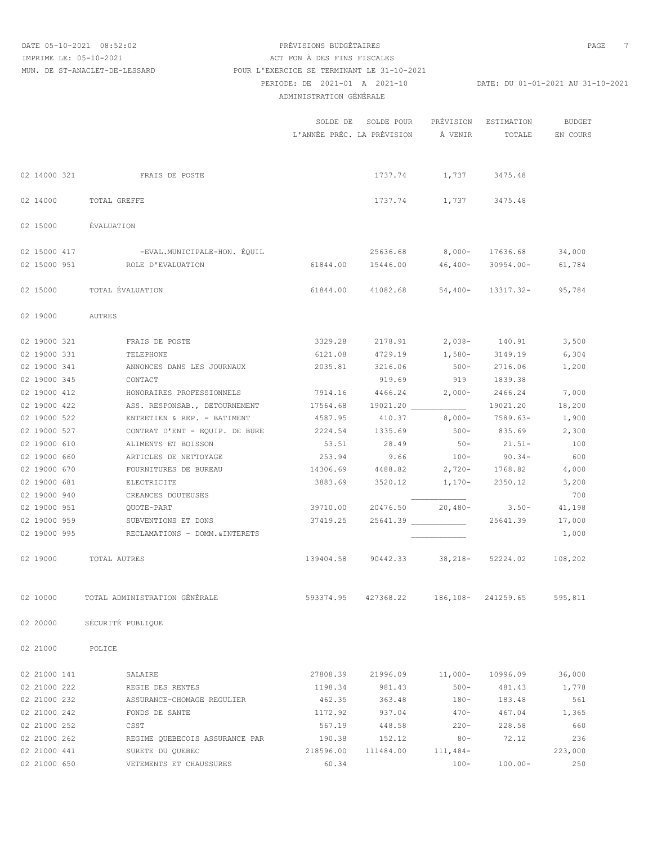### DATE 05-10-2021 08:52:02 PRÉVISIONS BUDGÉTAIRES PAGE 7 PERIODE: DE 2021-01 A 2021-10 DATE: DU 01-01-2021 AU 31-10-2021 ADMINISTRATION GÉNÉRALE IMPRIME LE: 05-10-2021 <br>
ACT FON À DES FINS FISCALES MUN. DE ST-ANACLET-DE-LESSARD POUR L'EXERCICE SE TERMINANT LE 31-10-2021

|              |                                                                                       |                                             | SOLDE DE SOLDE POUR<br>L'ANNÉE PRÉC. LA PRÉVISION À VENIR |                       | PRÉVISION ESTIMATION BUDGET | TOTALE EN COURS |
|--------------|---------------------------------------------------------------------------------------|---------------------------------------------|-----------------------------------------------------------|-----------------------|-----------------------------|-----------------|
|              | 02 14000 321 FRAIS DE POSTE                                                           |                                             |                                                           | 1737.74 1,737 3475.48 |                             |                 |
|              | 02 14000 TOTAL GREFFE                                                                 |                                             |                                                           | 1737.74 1,737 3475.48 |                             |                 |
|              | 02 15000 ÉVALUATION                                                                   |                                             |                                                           |                       |                             |                 |
|              | 02 15000 417 -EVAL.MUNICIPALE-HON. ÉQUIL                                              |                                             | 25636.68 8,000- 17636.68 34,000                           |                       |                             |                 |
|              | 02 15000 951 ROLE D'EVALUATION                                                        |                                             | 61844.00  15446.00  46,400-  30954.00-  61,784            |                       |                             |                 |
|              | 02 15000 TOTAL ÉVALUATION                                                             |                                             | 61844.00 41082.68 54,400- 13317.32- 95,784                |                       |                             |                 |
|              | 02 19000 AUTRES                                                                       |                                             |                                                           |                       |                             |                 |
|              | 02 19000 321 FRAIS DE POSTE                                                           |                                             | 3329.28 2178.91 2,038- 140.91 3,500                       |                       |                             |                 |
|              | 02 19000 331 TELEPHONE                                                                |                                             | 6121.08 4729.19 1,580- 3149.19                            |                       |                             | 6,304           |
| 02 19000 341 | ANNONCES DANS LES JOURNAUX                                                            |                                             | 2035.81 3216.06                                           |                       | 500-2716.06 1,200           |                 |
| 02 19000 345 | CONTACT                                                                               |                                             |                                                           |                       | 919.69 919 1839.38          |                 |
| 02 19000 412 | HONORAIRES PROFESSIONNELS                                                             |                                             | 7914.16 4466.24 2,000- 2466.24                            |                       |                             | 7,000           |
|              | 02 19000 422 ASS. RESPONSAB., DETOURNEMENT 17564.68 19021.20 19021.20 19021.20 18,200 |                                             |                                                           |                       |                             |                 |
| 02 19000 522 | ENTRETIEN & REP. - BATIMENT                                                           |                                             | 4587.95 410.37 8,000- 7589.63-                            |                       |                             | 1,900           |
| 02 19000 527 | CONTRAT D'ENT - EQUIP. DE BURE                                                        |                                             | 2224.54 1335.69 500- 835.69                               |                       |                             | 2,300           |
|              | ALIMENTS ET BOISSON                                                                   | 53.51                                       |                                                           |                       | $28.49$ $50 - 21.51 -$      | 100             |
| 02 19000 610 |                                                                                       |                                             |                                                           |                       |                             |                 |
| 02 19000 660 | ARTICLES DE NETTOYAGE                                                                 | 253.94                                      | 14306.69 4488.82 2,720- 1768.82 4,000                     |                       | $9.66$ 100- 90.34-          | 600             |
| 02 19000 670 | FOURNITURES DE BUREAU                                                                 |                                             |                                                           |                       |                             |                 |
| 02 19000 681 | ELECTRICITE                                                                           |                                             | 3883.69 3520.12 1,170- 2350.12                            |                       |                             | 3,200           |
| 02 19000 940 | CREANCES DOUTEUSES                                                                    |                                             |                                                           |                       |                             | 700             |
| 02 19000 951 | QUOTE-PART                                                                            |                                             | 39710.00 20476.50 20,480- 3.50- 41,198                    |                       |                             |                 |
|              | 02 19000 959 SUBVENTIONS ET DONS                                                      |                                             | 37419.25 25641.39 25641.39 17,000                         |                       |                             |                 |
|              | 02 19000 995 RECLAMATIONS - DOMM. & INTERETS                                          |                                             |                                                           |                       |                             | 1,000           |
|              | 02 19000 TOTAL AUTRES                                                                 | 139404.58 90442.33 38,218- 52224.02 108,202 |                                                           |                       |                             |                 |
| 02 10000     | TOTAL ADMINISTRATION GENERALE                                                         | 593374.95                                   | 427368.22                                                 |                       | 186, 108 - 241259.65        | 595,811         |
| 02 20000     | SÉCURITÉ PUBLIQUE                                                                     |                                             |                                                           |                       |                             |                 |
| 02 21000     | POLICE                                                                                |                                             |                                                           |                       |                             |                 |
| 02 21000 141 | SALAIRE                                                                               | 27808.39                                    | 21996.09                                                  | $11,000-$             | 10996.09                    | 36,000          |
| 02 21000 222 | REGIE DES RENTES                                                                      | 1198.34                                     | 981.43                                                    | $500 -$               | 481.43                      | 1,778           |
| 02 21000 232 | ASSURANCE-CHOMAGE REGULIER                                                            | 462.35                                      | 363.48                                                    | $180 -$               | 183.48                      | 561             |
| 02 21000 242 | FONDS DE SANTE                                                                        | 1172.92                                     | 937.04                                                    | $470 -$               | 467.04                      | 1,365           |
| 02 21000 252 | CSST                                                                                  | 567.19                                      | 448.58                                                    | $220 -$               | 228.58                      | 660             |
| 02 21000 262 | REGIME QUEBECOIS ASSURANCE PAR                                                        | 190.38                                      | 152.12                                                    | $80 -$                | 72.12                       | 236             |
| 02 21000 441 | SURETE DU QUEBEC                                                                      | 218596.00                                   | 111484.00                                                 | $111,484-$            |                             | 223,000         |
|              |                                                                                       |                                             |                                                           |                       |                             |                 |

02 21000 650 VETEMENTS ET CHAUSSURES 60.34 100- 100.00- 250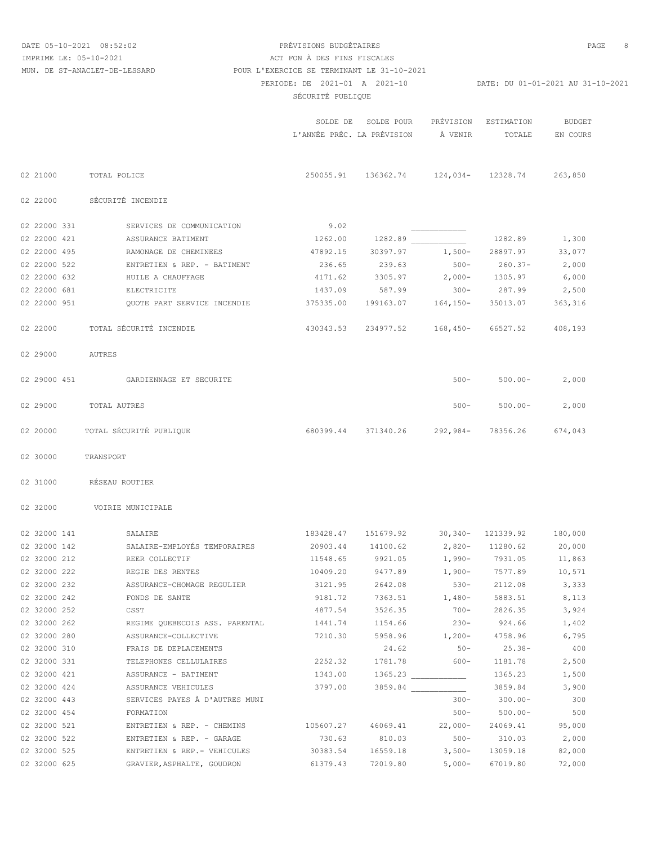DATE 05-10-2021 08:52:02 PRÉVISIONS BUDGÉTAIRES PAGE 8

# PERIODE: DE 2021-01 A 2021-10 DATE: DU 01-01-2021 AU 31-10-2021 SÉCURITÉ PUBLIQUE IMPRIME LE: 05-10-2021 <br>ACT FON À DES FINS FISCALES MUN. DE ST-ANACLET-DE-LESSARD POUR L'EXERCICE SE TERMINANT LE 31-10-2021

|              |                                | SOLDE DE  | SOLDE POUR<br>L'ANNÉE PRÉC. LA PRÉVISION      | PRÉVISION<br>À VENIR     | ESTIMATION<br>TOTALE | <b>BUDGET</b><br>EN COURS |
|--------------|--------------------------------|-----------|-----------------------------------------------|--------------------------|----------------------|---------------------------|
|              |                                |           |                                               |                          |                      |                           |
| 02 21000     | TOTAL POLICE                   |           | 250055.91 136362.74 124,034- 12328.74 263,850 |                          |                      |                           |
| 02 22000     | SÉCURITÉ INCENDIE              |           |                                               |                          |                      |                           |
| 02 22000 331 | SERVICES DE COMMUNICATION      | 9.02      |                                               |                          |                      |                           |
| 02 22000 421 | ASSURANCE BATIMENT             | 1262.00   | 1282.89                                       |                          | 1282.89              | 1,300                     |
| 02 22000 495 | RAMONAGE DE CHEMINEES          | 47892.15  | 30397.97                                      | $1,500-$                 | 28897.97             | 33,077                    |
| 02 22000 522 | ENTRETIEN & REP. - BATIMENT    | 236.65    | 239.63                                        |                          | $500 - 260.37 -$     | 2,000                     |
| 02 22000 632 | HUILE A CHAUFFAGE              | 4171.62   | 3305.97                                       | $2,000 - 1305.97$        |                      | 6,000                     |
| 02 22000 681 | ELECTRICITE                    |           | 1437.09 587.99                                |                          | $300 - 287.99$       | 2,500                     |
| 02 22000 951 | QUOTE PART SERVICE INCENDIE    | 375335.00 | 199163.07    164,150-                         |                          | 35013.07             | 363, 316                  |
| 02 22000     | TOTAL SÉCURITÉ INCENDIE        | 430343.53 | 234977.52 168,450-                            |                          | 66527.52             | 408,193                   |
| 02 29000     | AUTRES                         |           |                                               |                          |                      |                           |
| 02 29000 451 | GARDIENNAGE ET SECURITE        |           |                                               | $500 -$                  | $500.00 -$           | 2,000                     |
| 02 29000     | TOTAL AUTRES                   |           |                                               | $500 -$                  | $500.00 -$           | 2,000                     |
| 02 20000     | TOTAL SÉCURITÉ PUBLIQUE        |           | 680399.44 371340.26 292,984-                  |                          | 78356.26             | 674,043                   |
| 02 30000     | TRANSPORT                      |           |                                               |                          |                      |                           |
| 02 31000     | RÉSEAU ROUTIER                 |           |                                               |                          |                      |                           |
| 02 32000     | VOIRIE MUNICIPALE              |           |                                               |                          |                      |                           |
| 02 32000 141 | SALAIRE                        | 183428.47 | 151679.92 30,340- 121339.92                   |                          |                      | 180,000                   |
| 02 32000 142 | SALAIRE-EMPLOYÉS TEMPORAIRES   | 20903.44  | 14100.62                                      |                          | 2,820- 11280.62      | 20,000                    |
| 02 32000 212 | REER COLLECTIF                 | 11548.65  | 9921.05                                       |                          | 1,990- 7931.05       | 11,863                    |
| 02 32000 222 | REGIE DES RENTES               | 10409.20  | 9477.89                                       | $1,900 - 7577.89$        |                      | 10,571                    |
| 02 32000 232 | ASSURANCE-CHOMAGE REGULIER     | 3121.95   | 2642.08                                       | $530 -$                  | 2112.08              | 3,333                     |
| 02 32000 242 | FONDS DE SANTE                 | 9181.72   | 7363.51                                       | $1,480-$                 | 5883.51              | 8,113                     |
| 02 32000 252 | CSST                           | 4877.54   | 3526.35                                       | $700 -$                  | 2826.35              | 3,924                     |
| 02 32000 262 | REGIME QUEBECOIS ASS. PARENTAL | 1441.74   | 1154.66                                       | $230 -$                  | 924.66               | 1,402                     |
| 02 32000 280 | ASSURANCE-COLLECTIVE           | 7210.30   |                                               | 5958.96 1,200-           | 4758.96              | 6,795                     |
| 02 32000 310 | FRAIS DE DEPLACEMENTS          |           | 24.62                                         | $50 -$                   | $25.38 -$            | 400                       |
| 02 32000 331 | TELEPHONES CELLULAIRES         | 2252.32   | 1781.78                                       | $600 -$                  | 1181.78              | 2,500                     |
| 02 32000 421 | ASSURANCE - BATIMENT           | 1343.00   |                                               |                          | 1365.23              | 1,500                     |
| 02 32000 424 | ASSURANCE VEHICULES            | 3797.00   |                                               | 3859.84                  | 3859.84              | 3,900                     |
| 02 32000 443 | SERVICES PAYES À D'AUTRES MUNI |           |                                               | $300 -$                  | $300.00 -$           | 300                       |
| 02 32000 454 | FORMATION                      |           |                                               | $500 -$                  | $500.00 -$           | 500                       |
| 02 32000 521 | ENTRETIEN & REP. - CHEMINS     | 105607.27 | 46069.41                                      | $22,000-$                | 24069.41             | 95,000                    |
| 02 32000 522 | ENTRETIEN & REP. - GARAGE      | 730.63    | 810.03                                        | $500 -$                  | 310.03               | 2,000                     |
| 02 32000 525 | ENTRETIEN & REP. - VEHICULES   | 30383.54  | 16559.18                                      | $3,500-$                 | 13059.18             | 82,000                    |
| 02 32000 625 | GRAVIER ASPHALTE, GOUDRON      | 61379.43  |                                               | 72019.80 5.000- 67019.80 |                      | 72.000                    |

02 32000 625 GRAVIER,ASPHALTE, GOUDRON 61379.43 72019.80 5,000- 67019.80 72,000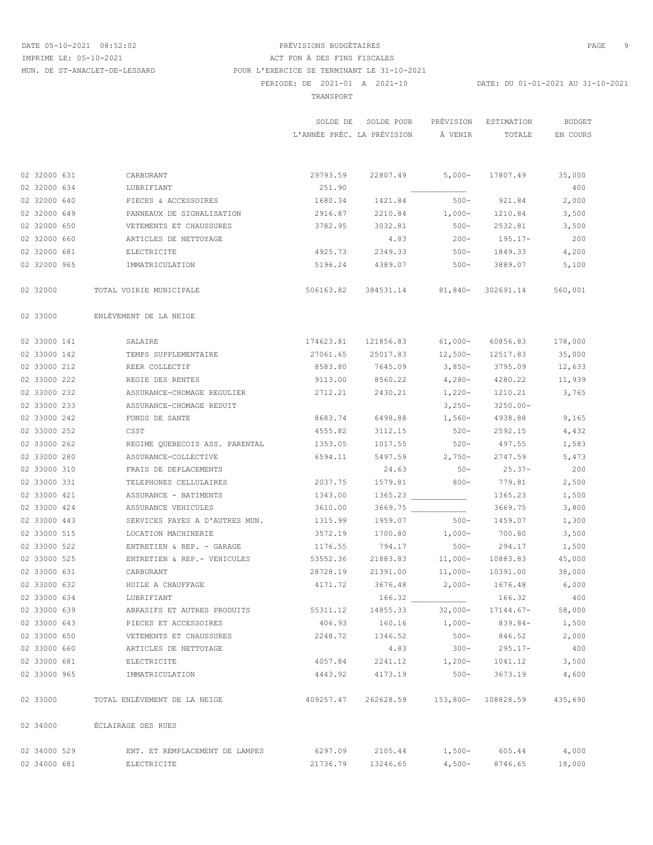# DATE 05-10-2021 08:52:02 PRÉVISIONS BUDGÉTAIRES PAGE 9 PERIODE: DE 2021-01 A 2021-10 DATE: DU 01-01-2021 AU 31-10-2021 TRANSPORT AND RESERVE TO A REPORT OF TRANSPORT IMPRIME LE: 05-10-2021 ACT FON À DES FINS FISCALES MUN. DE ST-ANACLET-DE-LESSARD POUR L'EXERCICE SE TERMINANT LE 31-10-2021

 SOLDE DE SOLDE POUR PRÉVISION ESTIMATION BUDGET L'ANNÉE PRÉC. LA PRÉVISION À VENIR TOTALE EN COURS 02 32000 631 CARBURANT 29793.59 22807.49 5,000- 17807.49 35,000 02 32000 634 LUBRIFIANT 251.90 \_\_\_\_\_\_\_\_\_\_\_\_ 400 02 32000 640 PIECES & ACCESSOIRES 1680.34 1421.84 500- 921.84 2,000 02 32000 649 PANNEAUX DE SIGNALISATION 2916.87 2210.84 1,000- 1210.84 3,500 02 32000 650 VETEMENTS ET CHAUSSURES 3782.95 3032.81 500- 2532.81 3,500 02 32000 660 ARTICLES DE NETTOYAGE 4.83 200- 195.17- 200 02 32000 681 ELECTRICITE 4925.73 2349.33 500- 1849.33 4,200 02 32000 965 IMMATRICULATION 5196.24 4389.07 500- 3889.07 5,100 02 32000 TOTAL VOIRIE MUNICIPALE 506163.82 384531.14 81,840- 302691.14 560,001 02 33000 ENLÈVEMENT DE LA NEIGE 02 33000 141 SALAIRE 174623.81 121856.83 61,000- 60856.83 178,000 02 33000 142 TEMPS SUPPLEMENTAIRE 27061.65 25017.83 12,500- 12517.83 35,000 02 33000 212 REER COLLECTIF 8583.80 7645.09 3,850- 3795.09 12,633 02 33000 222 REGIE DES RENTES 9113.00 8560.22 4,280- 4280.22 11,939 02 33000 232 ASSURANCE-CHOMAGE REGULIER 2712.21 2430.21 1,220- 1210.21 3,765 02 33000 233 ASSURANCE-CHOMAGE REDUIT 3,250- 3250.00- 02 33000 242 FONDS DE SANTE 6883.74 6498.88 1,560-4938.88 9,165 02 33000 252 CSST 4555.82 3112.15 520- 2592.15 4,432 02 33000 262 REGIME QUEBECOIS ASS. PARENTAL 1353.05 1017.55 520- 497.55 1,583 02 33000 280 ASSURANCE-COLLECTIVE 6594.11 5497.59 2,750- 2747.59 5,473 02 33000 310 FRAIS DE DEPLACEMENTS 24.63 50- 25.37- 200 02 33000 331 TELEPHONES CELLULAIRES 2037.75 1579.81 800- 779.81 2,500 02 33000 421 ASSURANCE - BATIMENTS 1343.00 1365.23 \_\_\_\_\_\_\_\_\_\_\_\_ 1365.23 1,500 02 33000 424 ASSURANCE VEHICULES 3610.00 3669.75 3669.75 3669.75 3,800 02 33000 443 SERVICES PAYES A D'AUTRES MUN. 1315.99 1959.07 500- 1459.07 1,300 02 33000 515 LOCATION MACHINERIE 3572.19 1700.80 1,000- 700.80 3,500 02 33000 522 ENTRETIEN & REP. - GARAGE 1176.55 794.17 500- 294.17 1,500 02 33000 525 ENTRETIEN & REP.- VEHICULES 53552.36 21883.83 11,000- 10883.83 45,000 02 33000 631 CARBURANT 28728.19 21391.00 11,000- 10391.00 38,000 02 33000 632 HUILE A CHAUFFAGE 4171.72 3676.48 2,000- 1676.48 6,000 02 33000 634 LUBRIFIANT 166.32 \_\_\_\_\_\_\_\_\_\_\_\_ 166.32 400 02 33000 639 ABRASIFS ET AUTRES PRODUITS 55311.12 14855.33 32,000- 17144.67- 58,000 02 33000 643 PIECES ET ACCESSOIRES 406.93 160.16 1,000- 839.84- 1,500 02 33000 650 VETEMENTS ET CHAUSSURES 2248.72 1346.52 500- 846.52 2,000 02 33000 660 ARTICLES DE NETTOYAGE 4.83 300- 295.17- 400 02 33000 681 ELECTRICITE 4057.84 2241.12 1,200- 1041.12 3,500 02 33000 965 IMMATRICULATION 4443.92 4173.19 500- 3673.19 4,600 02 33000 TOTAL ENLÈVEMENT DE LA NEIGE 409257.47 262628.59 153,800- 108828.59 435,690 02 34000 ÉCLAIRAGE DES RUES 02 34000 529 ENT. ET REMPLACEMENT DE LAMPES 6297.09 2105.44 1,500- 605.44 4,000 02 34000 681 ELECTRICITE 21736.79 13246.65 4,500- 8746.65 18,000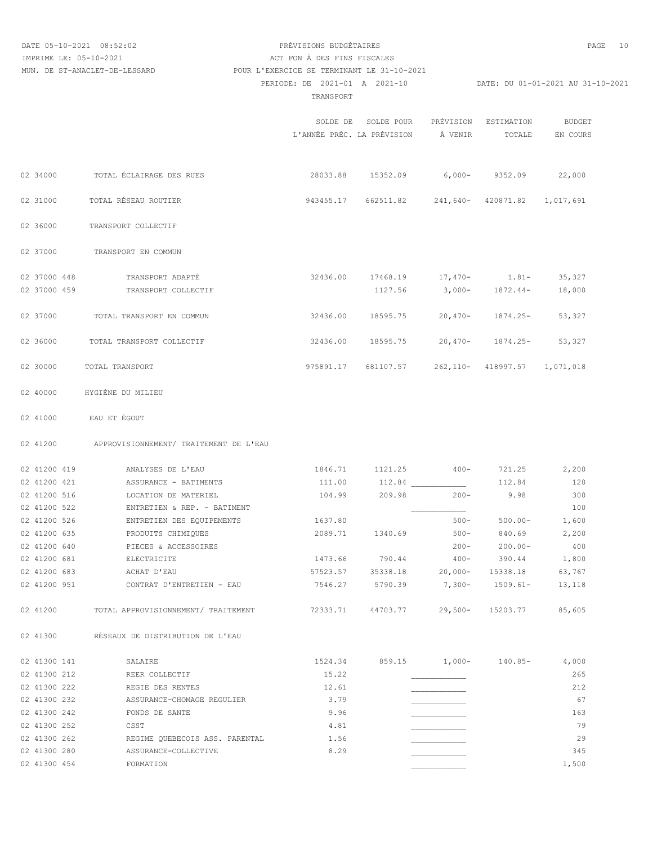MUN. DE ST-ANACLET-DE-LESSARD POUR L'EXERCICE SE TERMINANT LE 31-10-2021

# DATE 05-10-2021 08:52:02 PRÉVISIONS BUDGÉTAIRES PAGE 10 IMPRIME LE: 05-10-2021 <br>
ACT FON À DES FINS FISCALES

PERIODE: DE 2021-01 A 2021-10 DATE: DU 01-01-2021 AU 31-10-2021

TRANSPORT

|                              |                                         |          | SOLDE DE SOLDE POUR PRÉVISION ESTIMATION<br>L'ANNÉE PRÉC. LA PRÉVISION À VENIR |                      | TOTALE                          | BUDGET<br>EN COURS |
|------------------------------|-----------------------------------------|----------|--------------------------------------------------------------------------------|----------------------|---------------------------------|--------------------|
| 02 34000                     | TOTAL ÉCLAIRAGE DES RUES                |          | 28033.88 15352.09 6,000- 9352.09                                               |                      |                                 | 22,000             |
| 02 31000                     | TOTAL RÉSEAU ROUTIER                    |          | 943455.17 662511.82 241,640- 420871.82                                         |                      |                                 | 1,017,691          |
| 02 36000                     | TRANSPORT COLLECTIF                     |          |                                                                                |                      |                                 |                    |
| 02 37000                     | TRANSPORT EN COMMUN                     |          |                                                                                |                      |                                 |                    |
| 02 37000 448<br>02 37000 459 | TRANSPORT ADAPTÉ<br>TRANSPORT COLLECTIF |          | 32436.00 17468.19 17,470- 1.81- 35,327                                         |                      | 1127.56 3,000- 1872.44-         | 18,000             |
| 02 37000                     | TOTAL TRANSPORT EN COMMUN               | 32436.00 | 18595.75                                                                       | $20,470-$            | 1874.25-                        | 53,327             |
| 02 36000                     | TOTAL TRANSPORT COLLECTIF               | 32436.00 | 18595.75                                                                       | $20,470 - 1874.25 -$ |                                 | 53,327             |
| 02 30000                     | TOTAL TRANSPORT                         |          | 975891.17 681107.57                                                            |                      | 262, 110- 418997.57 1, 071, 018 |                    |
| 02 40000                     | HYGIÈNE DU MILIEU                       |          |                                                                                |                      |                                 |                    |
| 02 41000                     | EAU ET ÉGOUT                            |          |                                                                                |                      |                                 |                    |
| 02 41200                     | APPROVISIONNEMENT/ TRAITEMENT DE L'EAU  |          |                                                                                |                      |                                 |                    |
| 02 41200 419                 | ANALYSES DE L'EAU                       | 1846.71  | 1121.25                                                                        | $400-$               | 721.25                          | 2,200              |
| 02 41200 421                 | ASSURANCE - BATIMENTS                   | 111.00   | 112.84                                                                         |                      | 112.84                          | 120                |
| 02 41200 516                 | LOCATION DE MATERIEL                    | 104.99   | 209.98                                                                         | $200 -$              | 9.98                            | 300                |
| 02 41200 522                 | ENTRETIEN & REP. - BATIMENT             |          |                                                                                |                      |                                 | 100                |
| 02 41200 526                 | ENTRETIEN DES EQUIPEMENTS               | 1637.80  |                                                                                | $500 -$              | $500.00 -$                      | 1,600              |
| 02 41200 635                 | PRODUITS CHIMIQUES                      |          | 2089.71 1340.69                                                                | $500 - 840.69$       |                                 | 2,200              |
| 02 41200 640                 | PIECES & ACCESSOIRES                    |          |                                                                                | $200 -$              | $200.00 -$                      | 400                |
| 02 41200 681                 | ELECTRICITE                             |          | 1473.66 790.44                                                                 |                      | $400 - 390.44$ 1,800            |                    |
| 02 41200 683                 | ACHAT D'EAU                             |          | 57523.57 35338.18 20,000- 15338.18 63,767                                      |                      |                                 |                    |
| 02 41200 951                 | CONTRAT D'ENTRETIEN - EAU               | 7546.27  | 5790.39                                                                        | $7,300-$             | $1509.61-$                      | 13,118             |
| 02 41200                     | TOTAL APPROVISIONNEMENT/ TRAITEMENT     |          | 72333.71 44703.77 29,500- 15203.77                                             |                      |                                 | 85,605             |
| 02 41300                     | RÉSEAUX DE DISTRIBUTION DE L'EAU        |          |                                                                                |                      |                                 |                    |
| 02 41300 141                 | SALAIRE                                 | 1524.34  |                                                                                |                      | 859.15 1,000- 140.85-           | 4,000              |
| 02 41300 212                 | REER COLLECTIF                          | 15.22    |                                                                                |                      |                                 | 265                |
| 02 41300 222                 | REGIE DES RENTES                        | 12.61    |                                                                                |                      |                                 | 212                |
| 02 41300 232                 | ASSURANCE-CHOMAGE REGULIER              | 3.79     |                                                                                |                      |                                 | 67                 |
| 02 41300 242                 | FONDS DE SANTE                          | 9.96     |                                                                                |                      |                                 | 163                |
| 02 41300 252                 | CSST                                    | 4.81     |                                                                                |                      |                                 | 79                 |
| 02 41300 262                 | REGIME QUEBECOIS ASS. PARENTAL          | 1.56     |                                                                                |                      |                                 | 29                 |
| 02 41300 280                 | ASSURANCE-COLLECTIVE                    | 8.29     |                                                                                |                      |                                 | 345                |

02 41300 454 FORMATION 600 1,500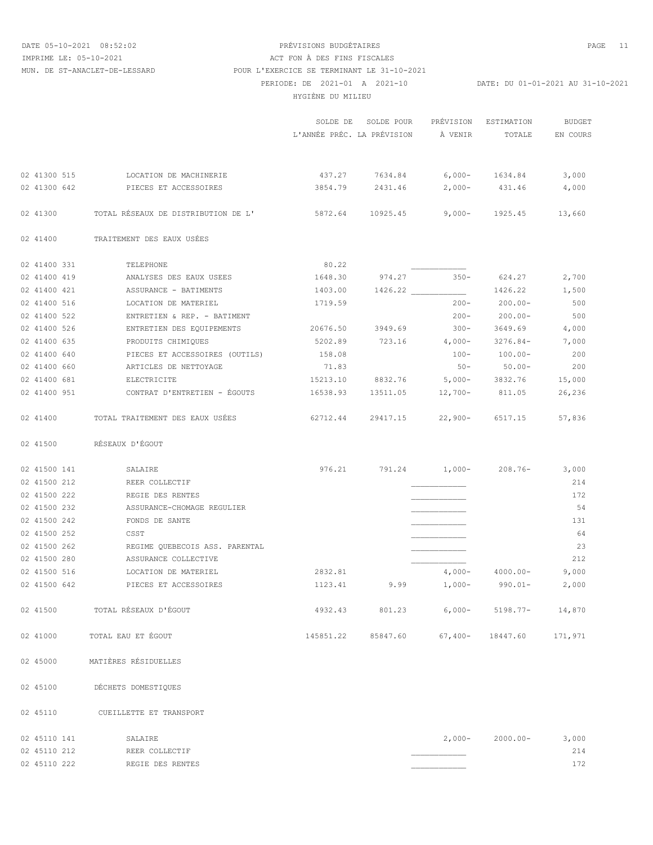### DATE 05-10-2021 08:52:02 PRÉVISIONS BUDGÉTAIRES PAGE 11 PERIODE: DE 2021-01 A 2021-10 DATE: DU 01-01-2021 AU 31-10-2021 HYGIÈNE DU MILIEU IMPRIME LE: 05-10-2021 ACT FON À DES FINS FISCALES MUN. DE ST-ANACLET-DE-LESSARD POUR L'EXERCICE SE TERMINANT LE 31-10-2021

|              |                                     | L'ANNÉE PRÉC. LA PRÉVISION             | SOLDE DE SOLDE POUR                         | À VENIR       | PRÉVISION ESTIMATION<br>TOTALE | <b>BUDGET</b><br>EN COURS |
|--------------|-------------------------------------|----------------------------------------|---------------------------------------------|---------------|--------------------------------|---------------------------|
| 02 41300 515 | LOCATION DE MACHINERIE              |                                        | 437.27 7634.84 6,000- 1634.84               |               |                                | 3,000                     |
| 02 41300 642 | PIECES ET ACCESSOIRES               | 3854.79                                | 2431.46                                     |               | 2,000- 431.46                  | 4,000                     |
|              |                                     |                                        |                                             |               |                                |                           |
| 02 41300     | TOTAL RÉSEAUX DE DISTRIBUTION DE L' | 5872.64 10925.45 9,000- 1925.45 13,660 |                                             |               |                                |                           |
| 02 41400     | TRAITEMENT DES EAUX USÉES           |                                        |                                             |               |                                |                           |
| 02 41400 331 | TELEPHONE                           | 80.22                                  |                                             |               |                                |                           |
| 02 41400 419 | ANALYSES DES EAUX USEES             | 1648.30                                |                                             | $974.27$ 350- | 624.27                         | 2,700                     |
| 02 41400 421 | ASSURANCE - BATIMENTS               | 1403.00                                |                                             |               | 1426.22                        | 1,500                     |
| 02 41400 516 | LOCATION DE MATERIEL                | 1719.59                                |                                             | $200 -$       | $200.00-$                      | 500                       |
| 02 41400 522 | ENTRETIEN & REP. - BATIMENT         |                                        |                                             | $200 -$       | $200.00 -$                     | 500                       |
| 02 41400 526 | ENTRETIEN DES EQUIPEMENTS           | 20676.50                               | 3949.69                                     | $300 -$       | 3649.69                        | 4,000                     |
| 02 41400 635 | PRODUITS CHIMIQUES                  | 5202.89                                | 723.16                                      | $4,000-$      | 3276.84-                       | 7,000                     |
| 02 41400 640 | PIECES ET ACCESSOIRES (OUTILS)      | 158.08                                 |                                             | $100 -$       | $100.00 -$                     | 200                       |
| 02 41400 660 | ARTICLES DE NETTOYAGE               | 71.83                                  |                                             | $50 -$        | $50.00 -$                      | 200                       |
| 02 41400 681 | ELECTRICITE                         | 15213.10                               | 8832.76                                     |               | 5,000- 3832.76                 | 15,000                    |
| 02 41400 951 | CONTRAT D'ENTRETIEN - ÉGOUTS        | 16538.93                               | 13511.05                                    | $12,700-$     | 811.05                         | 26,236                    |
| 02 41400     | TOTAL TRAITEMENT DES EAUX USÉES     |                                        | 62712.44 29417.15 22,900- 6517.15 57,836    |               |                                |                           |
| 02 41500     | RÉSEAUX D'ÉGOUT                     |                                        |                                             |               |                                |                           |
| 02 41500 141 | SALAIRE                             |                                        |                                             |               |                                |                           |
| 02 41500 212 | REER COLLECTIF                      |                                        |                                             |               |                                | 214                       |
| 02 41500 222 | REGIE DES RENTES                    |                                        |                                             |               |                                | 172                       |
| 02 41500 232 | ASSURANCE-CHOMAGE REGULIER          |                                        |                                             |               |                                | 54                        |
| 02 41500 242 | FONDS DE SANTE                      |                                        |                                             |               |                                | 131                       |
| 02 41500 252 | CSST                                |                                        |                                             |               |                                | 64                        |
| 02 41500 262 | REGIME QUEBECOIS ASS. PARENTAL      |                                        |                                             |               |                                | 23                        |
| 02 41500 280 | ASSURANCE COLLECTIVE                |                                        |                                             |               |                                | 212                       |
| 02 41500 516 | LOCATION DE MATERIEL                | 2832.81                                |                                             |               | $4,000-4000.00-$               | 9,000                     |
| 02 41500 642 | PIECES ET ACCESSOIRES               | 1123.41                                | 9.99                                        | $1,000-$      | 990.01-                        | 2,000                     |
| 02 41500     | TOTAL RÉSEAUX D'ÉGOUT               |                                        | 4932.43 801.23 6,000- 5198.77- 14,870       |               |                                |                           |
| 02 41000     | TOTAL EAU ET ÉGOUT                  |                                        | 145851.22 85847.60 67,400- 18447.60 171,971 |               |                                |                           |
| 02 45000     | MATIÈRES RÉSIDUELLES                |                                        |                                             |               |                                |                           |

02 45100 DÉCHETS DOMESTIQUES

02 45110 CUEILLETTE ET TRANSPORT

| 02 45110 141 | SALAIRE          | 2,000- | 2000.00- | 3,000 |
|--------------|------------------|--------|----------|-------|
| 02 45110 212 | REER COLLECTIF   |        |          | 214   |
| 02 45110 222 | REGIE DES RENTES |        |          | 172   |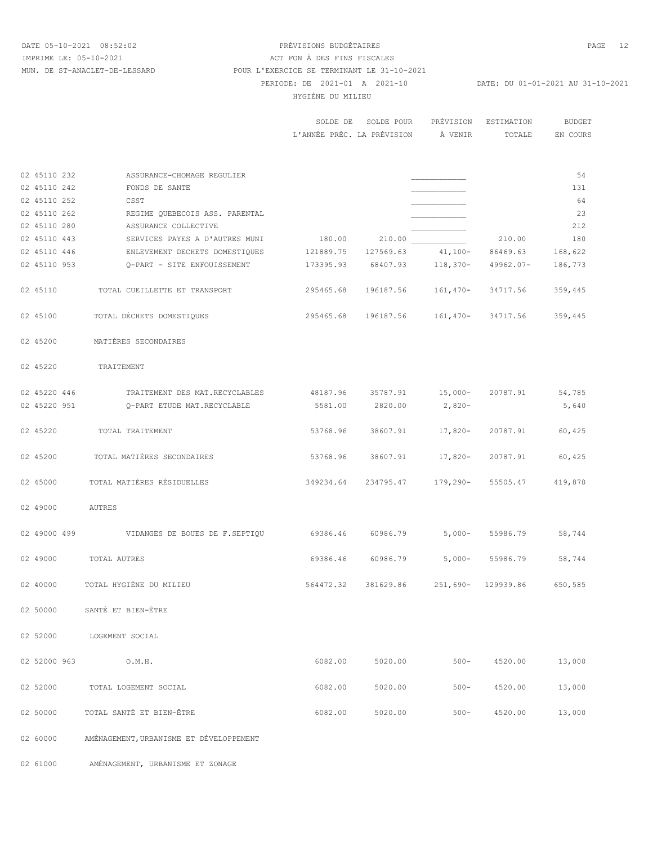02 61000 AMÉNAGEMENT, URBANISME ET ZONAGE

## DATE 05-10-2021 08:52:02 PRÉVISIONS BUDGÉTAIRES PAGE 12 PERIODE: DE 2021-01 A 2021-10 DATE: DU 01-01-2021 AU 31-10-2021 HYGIÈNE DU MILIEU IMPRIME LE: 05-10-2021 <br>
ACT FON À DES FINS FISCALES MUN. DE ST-ANACLET-DE-LESSARD POUR L'EXERCICE SE TERMINANT LE 31-10-2021

| <b>BUDGET</b> | PRÉVISION ESTIMATION |         | SOLDE DE SOLDE POUR        |
|---------------|----------------------|---------|----------------------------|
| EN COURS      | TOTALE.              | À VENIR | L'ANNÉE PRÉC. LA PRÉVISION |

| 02 45110 232 | ASSURANCE-CHOMAGE REGULIER                               |           |         |                                        |           | 54      |
|--------------|----------------------------------------------------------|-----------|---------|----------------------------------------|-----------|---------|
| 02 45110 242 | FONDS DE SANTE                                           |           |         |                                        |           | 131     |
| 02 45110 252 | CSST                                                     |           |         |                                        |           | 64      |
| 02 45110 262 | REGIME QUEBECOIS ASS. PARENTAL                           |           |         |                                        |           | 23      |
| 02 45110 280 | ASSURANCE COLLECTIVE                                     |           |         |                                        |           | 212     |
| 02 45110 443 | SERVICES PAYES A D'AUTRES MUNI                           |           |         |                                        | 210.00    | 180     |
| 02 45110 446 |                                                          |           |         |                                        |           | 168,622 |
| 02 45110 953 | Q-PART - SITE ENFOUISSEMENT                              |           |         | 173395.93 68407.93 118,370-            | 49962.07- | 186,773 |
| 02 45110     | TOTAL CUEILLETTE ET TRANSPORT                            |           |         | 295465.68 196187.56 161,470-           | 34717.56  | 359,445 |
| 02 45100     | TOTAL DÉCHETS DOMESTIQUES                                |           |         | 295465.68 196187.56 161,470-           | 34717.56  | 359,445 |
| 02 45200     | MATIÈRES SECONDAIRES                                     |           |         |                                        |           |         |
| 02 45220     | TRAITEMENT                                               |           |         |                                        |           |         |
| 02 45220 446 | TRAITEMENT DES MAT.RECYCLABLES 48187.96 35787.91 15,000- |           |         |                                        | 20787.91  | 54,785  |
| 02 45220 951 | O-PART ETUDE MAT.RECYCLABLE                              |           |         | 5581.00 2820.00 2,820-                 |           | 5,640   |
|              |                                                          |           |         |                                        |           |         |
| 02 45220     | TOTAL TRAITEMENT                                         | 53768.96  |         | 38607.91 17,820-                       | 20787.91  | 60,425  |
| 02 45200     | TOTAL MATIÈRES SECONDAIRES                               | 53768.96  |         | 38607.91 17,820-                       | 20787.91  | 60,425  |
| 02 45000     | TOTAL MATIÈRES RÉSIDUELLES                               | 349234.64 |         | 234795.47 179,290-                     | 55505.47  | 419,870 |
| 02 49000     | AUTRES                                                   |           |         |                                        |           |         |
|              |                                                          |           |         |                                        | 55986.79  | 58,744  |
| 02 49000     | TOTAL AUTRES                                             |           |         | 69386.46 60986.79 5,000-               | 55986.79  | 58,744  |
| 02 40000     | TOTAL HYGIÈNE DU MILIEU                                  |           |         | 564472.32 381629.86 251,690- 129939.86 |           | 650,585 |
| 02 50000     | SANTÉ ET BIEN-ÊTRE                                       |           |         |                                        |           |         |
| 02 52000     | LOGEMENT SOCIAL                                          |           |         |                                        |           |         |
| 02 52000 963 | O.M.H.                                                   | 6082.00   | 5020.00 | $500 -$                                | 4520.00   | 13,000  |
| 02 52000     | TOTAL LOGEMENT SOCIAL                                    | 6082.00   | 5020.00 | $500 -$                                | 4520.00   | 13,000  |
| 02 50000     | TOTAL SANTÉ ET BIEN-ÊTRE                                 | 6082.00   | 5020.00 | $500 -$                                | 4520.00   | 13,000  |
| 02 60000     | AMÉNAGEMENT, URBANISME ET DÉVELOPPEMENT                  |           |         |                                        |           |         |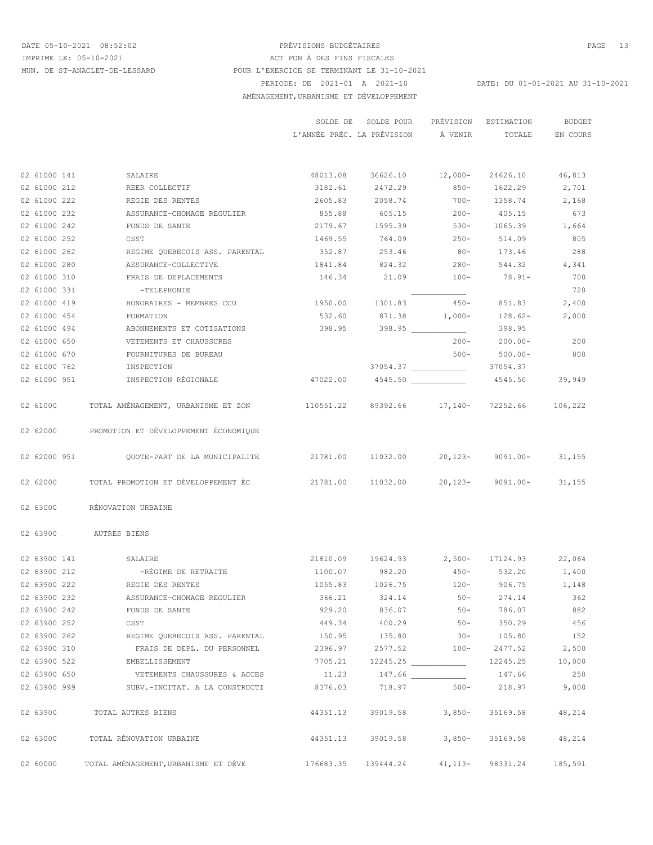### DATE 05-10-2021 08:52:02 PRÉVISIONS BUDGÉTAIRES PAGE 13 PERIODE: DE 2021-01 A 2021-10 DATE: DU 01-01-2021 AU 31-10-2021 AMÉNAGEMENT,URBANISME ET DÉVELOPPEMENT IMPRIME LE: 05-10-2021 <br>
ACT FON À DES FINS FISCALES MUN. DE ST-ANACLET-DE-LESSARD POUR L'EXERCICE SE TERMINANT LE 31-10-2021

|              |                                                                                                    |                                           | SOLDE DE SOLDE POUR<br>L'ANNÉE PRÉC. LA PRÉVISION À VENIR |                 | PRÉVISION ESTIMATION<br>TOTALE | BUDGET<br>EN COURS |
|--------------|----------------------------------------------------------------------------------------------------|-------------------------------------------|-----------------------------------------------------------|-----------------|--------------------------------|--------------------|
|              |                                                                                                    |                                           |                                                           |                 |                                |                    |
| 02 61000 141 | SALAIRE                                                                                            |                                           | 48013.08 36626.10 12,000- 24626.10 46,813                 |                 |                                |                    |
| 02 61000 212 | REER COLLECTIF                                                                                     |                                           | 3182.61 2472.29 850- 1622.29 2,701                        |                 |                                |                    |
| 02 61000 222 | REGIE DES RENTES                                                                                   |                                           | 2605.83 2058.74 700- 1358.74 2,168                        |                 |                                |                    |
| 02 61000 232 | ASSURANCE-CHOMAGE REGULIER                                                                         |                                           | 855.88 605.15 200- 405.15                                 |                 |                                | 673                |
| 02 61000 242 | FONDS DE SANTE                                                                                     |                                           | 2179.67 1595.39 530- 1065.39 1,664                        |                 |                                |                    |
| 02 61000 252 | CSST                                                                                               |                                           | 1469.55 764.09 250- 514.09                                |                 |                                | 805                |
| 02 61000 262 | REGIME OUEBECOIS ASS. PARENTAL                                                                     |                                           | 352.87 253.46 80- 173.46                                  |                 |                                | 288                |
| 02 61000 280 | ASSURANCE-COLLECTIVE                                                                               |                                           | 1841.84 824.32 280- 544.32 4,341                          |                 |                                |                    |
| 02 61000 310 | FRAIS DE DEPLACEMENTS                                                                              |                                           | $146.34$ 21.09 100- 78.91-                                |                 |                                | 700                |
| 02 61000 331 | $-TELEPHONIE$                                                                                      |                                           |                                                           |                 |                                | 720                |
| 02 61000 419 | HONORAIRES - MEMBRES CCU                                                                           |                                           | 1950.00 1301.83 450- 851.83                               |                 |                                | 2,400              |
| 02 61000 454 | FORMATION                                                                                          |                                           | 532.60 871.38 1,000- 128.62-                              |                 |                                | 2,000              |
| 02 61000 494 | ABONNEMENTS ET COTISATIONS                                                                         | $398.95$ $398.95$ $\frac{1}{200}$         |                                                           |                 | 398.95                         |                    |
| 02 61000 650 | VETEMENTS ET CHAUSSURES                                                                            |                                           |                                                           |                 | $200 - 200.00 - 200$           |                    |
| 02 61000 670 | FOURNITURES DE BUREAU                                                                              |                                           |                                                           |                 | $500 - 500.00 -$               | 800                |
| 02 61000 762 | INSPECTION                                                                                         |                                           |                                                           |                 |                                |                    |
| 02 61000 951 | INSPECTION RÉGIONALE                                                                               |                                           | 47022.00  4545.50  4545.50                                |                 |                                | 39,949             |
|              | 02 61000 TOTAL AMÉNAGEMENT, URBANISME ET ZON 110551.22 89392.66 17,140- 72252.66 106,222           |                                           |                                                           |                 |                                |                    |
|              | 02 62000 PROMOTION ET DÉVELOPPEMENT ÉCONOMIQUE                                                     |                                           |                                                           |                 |                                |                    |
| 02 62000 951 | QUOTE-PART DE LA MUNICIPALITE                                                                      | 21781.00 11032.00 20,123- 9091.00- 31,155 |                                                           |                 |                                |                    |
|              | 02 62000 TOTAL PROMOTION ET DÉVELOPPEMENT ÉC $21781.00$ $11032.00$ $20,123$ - $9091.00$ - $31,155$ |                                           |                                                           |                 |                                |                    |
| 02 63000     | RÉNOVATION URBAINE                                                                                 |                                           |                                                           |                 |                                |                    |
|              | 02 63900 AUTRES BIENS                                                                              |                                           |                                                           |                 |                                |                    |
| 02 63900 141 | SALAIRE                                                                                            |                                           | 21810.09 19624.93 2,500- 17124.93 22,064                  |                 |                                |                    |
| 02 63900 212 | -RÉGIME DE RETRAITE                                                                                |                                           | 1100.07 982.20 450- 532.20 1,400                          |                 |                                |                    |
| 02 63900 222 | REGIE DES RENTES                                                                                   |                                           | 1055.83 1026.75 120- 906.75 1,148                         |                 |                                |                    |
| 02 63900 232 | ASSURANCE-CHOMAGE REGULIER                                                                         | 366.21                                    | 324.14                                                    | $50 -$          | 274.14                         | 362                |
| 02 63900 242 | FONDS DE SANTE                                                                                     | 929.20                                    | 836.07                                                    | $50 -$          | 786.07                         | 882                |
| 02 63900 252 | CSST                                                                                               |                                           | 449.34 400.29 50-                                         |                 | 350.29                         | 456                |
| 02 63900 262 |                                                                                                    |                                           |                                                           |                 |                                | 152                |
| 02 63900 310 | FRAIS DE DEPL. DU PERSONNEL 2396.97                                                                |                                           |                                                           | 2577.52 100-    | 2477.52 2,500                  |                    |
| 02 63900 522 | <b>EMBELLISSEMENT</b>                                                                              |                                           |                                                           |                 |                                | 10,000             |
| 02 63900 650 | VETEMENTS CHAUSSURES & ACCES                                                                       |                                           | 11.23 147.66                                              |                 | 147.66                         | 250                |
|              | 02 63900 999 SUBV.-INCITAT. A LA CONSTRUCTI                                                        | 8376.03                                   |                                                           |                 | 718.97 500- 218.97 9,000       |                    |
|              | 02 63900 TOTAL AUTRES BIENS                                                                        | 44351.13                                  |                                                           | 39019.58 3,850- | 35169.58                       | 48,214             |
|              | 02 63000 TOTAL RÉNOVATION URBAINE                                                                  |                                           | 44351.13 39019.58 3,850-                                  |                 | 35169.58                       | 48,214             |
| 02 60000     | TOTAL AMÉNAGEMENT, URBANISME ET DÉVE $176683.35$ 139444.24                                         |                                           |                                                           |                 | 41, 113 - 98331. 24            | 185,591            |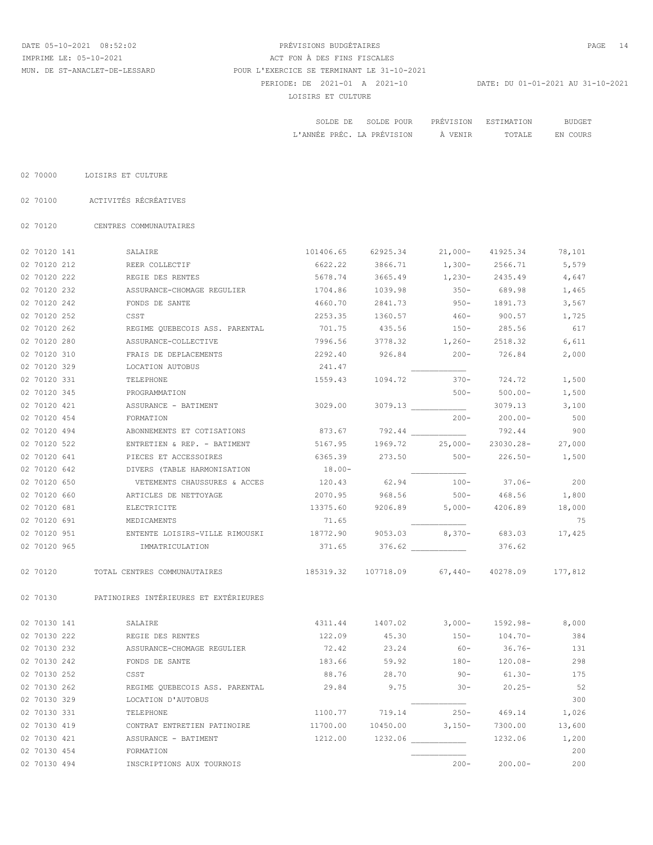# DATE 05-10-2021 08:52:02 PRÉVISIONS BUDGÉTAIRES PAGE 14 PERIODE: DE 2021-01 A 2021-10 DATE: DU 01-01-2021 AU 31-10-2021 LOISIRS ET CULTURE IMPRIME LE: 05-10-2021 ACT FON À DES FINS FISCALES MUN. DE ST-ANACLET-DE-LESSARD POUR L'EXERCICE SE TERMINANT LE 31-10-2021

|                            | SOLDE DE SOLDE POUR |         | PREVISION ESTIMATION | BUDGET   |
|----------------------------|---------------------|---------|----------------------|----------|
| L'ANNÉE PRÉC. LA PRÉVISION |                     | À VENIR | TOTALE               | EN COURS |

02 70000 LOISIRS ET CULTURE

02 70100 ACTIVITÉS RÉCRÉATIVES

02 70120 CENTRES COMMUNAUTAIRES

| 02 70120 141 | SALAIRE                               | 101406.65 | 62925.34          | $21,000-$ | 41925.34    | 78,101  |
|--------------|---------------------------------------|-----------|-------------------|-----------|-------------|---------|
| 02 70120 212 | REER COLLECTIF                        | 6622.22   | 3866.71           | $1,300-$  | 2566.71     | 5,579   |
| 02 70120 222 | REGIE DES RENTES                      | 5678.74   | 3665.49           | $1,230-$  | 2435.49     | 4,647   |
| 02 70120 232 | ASSURANCE-CHOMAGE REGULIER            | 1704.86   | 1039.98           | $350 -$   | 689.98      | 1,465   |
| 02 70120 242 | FONDS DE SANTE                        | 4660.70   | 2841.73           | $950 -$   | 1891.73     | 3,567   |
| 02 70120 252 | CSST                                  | 2253.35   | 1360.57           | $460 -$   | 900.57      | 1,725   |
| 02 70120 262 | REGIME OUEBECOIS ASS. PARENTAL        | 701.75    | 435.56            | $150 -$   | 285.56      | 617     |
| 02 70120 280 | ASSURANCE-COLLECTIVE                  | 7996.56   | 3778.32           | $1,260-$  | 2518.32     | 6,611   |
| 02 70120 310 | FRAIS DE DEPLACEMENTS                 | 2292.40   | 926.84            | $200 -$   | 726.84      | 2,000   |
| 02 70120 329 | LOCATION AUTOBUS                      | 241.47    |                   |           |             |         |
| 02 70120 331 | TELEPHONE                             | 1559.43   | 1094.72           | $370 -$   | 724.72      | 1,500   |
| 02 70120 345 | PROGRAMMATION                         |           |                   | $500 -$   | $500.00 -$  | 1,500   |
| 02 70120 421 | ASSURANCE - BATIMENT                  | 3029.00   |                   | 3079.13   | 3079.13     | 3,100   |
| 02 70120 454 | FORMATION                             |           |                   | $200 -$   | $200.00 -$  | 500     |
| 02 70120 494 | ABONNEMENTS ET COTISATIONS            | 873.67    |                   |           | 792.44      | 900     |
| 02 70120 522 | ENTRETIEN & REP. - BATIMENT           | 5167.95   | 1969.72           | $25,000-$ | 23030.28-   | 27,000  |
| 02 70120 641 | PIECES ET ACCESSOIRES                 | 6365.39   | 273.50            | $500 -$   | $226.50 -$  | 1,500   |
| 02 70120 642 | DIVERS (TABLE HARMONISATION           | $18.00 -$ |                   |           |             |         |
| 02 70120 650 | VETEMENTS CHAUSSURES & ACCES          | 120.43    | 62.94             | $100 -$   | $37.06 -$   | 200     |
| 02 70120 660 | ARTICLES DE NETTOYAGE                 | 2070.95   | 968.56            | $500 -$   | 468.56      | 1,800   |
| 02 70120 681 | ELECTRICITE                           | 13375.60  | 9206.89           | $5,000-$  | 4206.89     | 18,000  |
| 02 70120 691 | MEDICAMENTS                           | 71.65     |                   |           |             | 75      |
| 02 70120 951 | ENTENTE LOISIRS-VILLE RIMOUSKI        | 18772.90  | 9053.03           | 8,370-    | 683.03      | 17,425  |
| 02 70120 965 | IMMATRICULATION                       | 371.65    | 376.62            |           | 376.62      |         |
| 02 70120     | TOTAL CENTRES COMMUNAUTAIRES          | 185319.32 | 107718.09 67,440- |           | 40278.09    | 177,812 |
| 02 70130     | PATINOIRES INTÉRIEURES ET EXTÉRIEURES |           |                   |           |             |         |
| 02 70130 141 | SALAIRE                               | 4311.44   | 1407.02           | $3,000-$  | $1592.98 -$ | 8,000   |
| 02 70130 222 | REGIE DES RENTES                      | 122.09    | 45.30             | $150-$    | 104.70-     | 384     |
| 02 70130 232 | ASSURANCE-CHOMAGE REGULIER            | 72.42     | 23.24             | $60 -$    | $36.76-$    | 131     |
| 02 70130 242 | FONDS DE SANTE                        | 183.66    | 59.92             | $180 -$   | $120.08-$   | 298     |
| 02 70130 252 | CSST                                  | 88.76     | 28.70             | $90 -$    | 61.30-      | 175     |
| 02 70130 262 | REGIME QUEBECOIS ASS. PARENTAL        | 29.84     | 9.75              | $30 -$    | $20.25 -$   | 52      |
| 02 70130 329 | LOCATION D'AUTOBUS                    |           |                   |           |             | 300     |
| 02 70130 331 | TELEPHONE                             | 1100.77   | 719.14            | $250 -$   | 469.14      | 1,026   |
| 02 70130 419 | CONTRAT ENTRETIEN PATINOIRE           | 11700.00  | 10450.00          | $3,150-$  | 7300.00     | 13,600  |
| 02 70130 421 | ASSURANCE - BATIMENT                  | 1212.00   |                   |           | 1232.06     | 1,200   |
| 02 70130 454 | FORMATION                             |           |                   |           |             | 200     |
| 02 70130 494 | INSCRIPTIONS AUX TOURNOIS             |           |                   | $200 -$   | $200.00 -$  | 200     |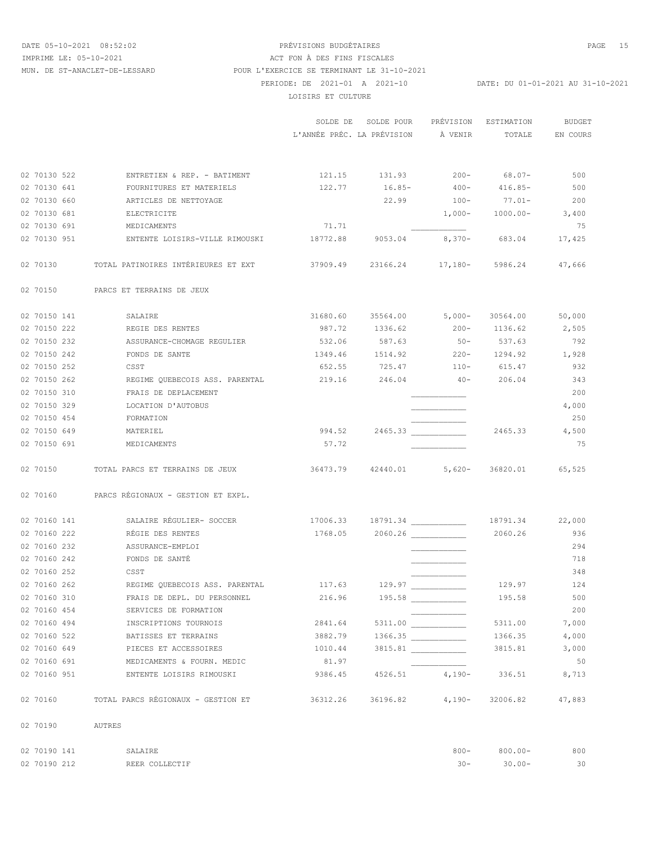# DATE 05-10-2021 08:52:02 PRÉVISIONS BUDGÉTAIRES PAGE 15 PERIODE: DE 2021-01 A 2021-10 DATE: DU 01-01-2021 AU 31-10-2021 LOISIRS ET CULTURE IMPRIME LE: 05-10-2021 <br>
ACT FON À DES FINS FISCALES MUN. DE ST-ANACLET-DE-LESSARD POUR L'EXERCICE SE TERMINANT LE 31-10-2021

|              |                                                                                       |                                              | SOLDE DE SOLDE POUR<br>L'ANNÉE PRÉC. LA PRÉVISION À VENIR TOTALE |                 | PRÉVISION ESTIMATION           | <b>BUDGET</b><br>EN COURS |
|--------------|---------------------------------------------------------------------------------------|----------------------------------------------|------------------------------------------------------------------|-----------------|--------------------------------|---------------------------|
|              |                                                                                       |                                              |                                                                  |                 |                                |                           |
| 02 70130 522 | ENTRETIEN & REP. - BATIMENT 121.15 131.93 200- 68.07-                                 |                                              |                                                                  |                 |                                | 500                       |
| 02 70130 641 | FOURNITURES ET MATERIELS                                                              | $122.77$ $16.85 400 416.85-$                 |                                                                  |                 |                                | 500                       |
| 02 70130 660 | ARTICLES DE NETTOYAGE                                                                 |                                              |                                                                  |                 | 22.99    100-    77.01-    200 |                           |
| 02 70130 681 | ELECTRICITE                                                                           |                                              |                                                                  |                 | $1,000-1000.00-3,400$          |                           |
| 02 70130 691 | MEDICAMENTS                                                                           | 71.71                                        |                                                                  |                 |                                | 75                        |
| 02 70130 951 | ENTENTE LOISIRS-VILLE RIMOUSKI 18772.88 9053.04 8,370- 683.04 17,425                  |                                              |                                                                  |                 |                                |                           |
|              | 02 70130 TOTAL PATINOIRES INTÉRIEURES ET EXT 67909.49 23166.24 17,180- 5986.24 47,666 |                                              |                                                                  |                 |                                |                           |
|              | 02 70150 PARCS ET TERRAINS DE JEUX                                                    |                                              |                                                                  |                 |                                |                           |
| 02 70150 141 | SALAIRE                                                                               |                                              | 31680.60 35564.00 5,000- 30564.00 50,000                         |                 |                                |                           |
| 02 70150 222 | REGIE DES RENTES                                                                      |                                              | 987.72 1336.62 200- 1136.62                                      |                 |                                | 2,505                     |
| 02 70150 232 | ASSURANCE-CHOMAGE REGULIER                                                            |                                              | 532.06 587.63 50- 537.63                                         |                 |                                | 792                       |
| 02 70150 242 | FONDS DE SANTE                                                                        |                                              | 1349.46 1514.92 220- 1294.92 1,928                               |                 |                                |                           |
| 02 70150 252 | <b>CSST</b>                                                                           |                                              | 652.55 725.47 110- 615.47                                        |                 |                                | 932                       |
| 02 70150 262 |                                                                                       |                                              |                                                                  |                 |                                | 343                       |
| 02 70150 310 | FRAIS DE DEPLACEMENT                                                                  |                                              |                                                                  |                 |                                | 200                       |
| 02 70150 329 | LOCATION D'AUTOBUS                                                                    |                                              |                                                                  |                 |                                | 4,000                     |
| 02 70150 454 | FORMATION                                                                             |                                              |                                                                  |                 |                                | 250                       |
| 02 70150 649 | MATERIEL                                                                              |                                              |                                                                  |                 | 2465.33 4,500                  |                           |
| 02 70150 691 | MEDICAMENTS                                                                           | 57.72                                        |                                                                  |                 |                                | 75                        |
|              | 02 70150 TOTAL PARCS ET TERRAINS DE JEUX                                              | 36473.79  42440.01  5,620-  36820.01  65,525 |                                                                  |                 |                                |                           |
|              | 02 70160 PARCS RÉGIONAUX - GESTION ET EXPL.                                           |                                              |                                                                  |                 |                                |                           |
| 02 70160 141 | SALAIRE RÉGULIER- SOCCER                                                              | $17006.33$ $18791.34$ $18791.34$ $22,000$    |                                                                  |                 |                                |                           |
| 02 70160 222 | RÉGIE DES RENTES                                                                      |                                              |                                                                  |                 | 2060.26                        | 936                       |
| 02 70160 232 | ASSURANCE-EMPLOI                                                                      |                                              |                                                                  |                 |                                | 294                       |
| 02 70160 242 | FONDS DE SANTÉ                                                                        |                                              |                                                                  |                 |                                | 718                       |
| 02 70160 252 | <b>CSST</b>                                                                           |                                              |                                                                  |                 |                                | 348                       |
| 02 70160 262 |                                                                                       |                                              |                                                                  |                 | 129.97 124                     |                           |
| 02 70160 310 | FRAIS DE DEPL. DU PERSONNEL                                                           | 216.96                                       |                                                                  | 195.58          | 195.58                         | 500                       |
| 02 70160 454 | SERVICES DE FORMATION                                                                 |                                              |                                                                  |                 |                                | 200                       |
| 02 70160 494 | INSCRIPTIONS TOURNOIS                                                                 | 2841.64                                      |                                                                  | 5311.00         | 5311.00                        | 7,000                     |
| 02 70160 522 | BATISSES ET TERRAINS                                                                  | 3882.79                                      |                                                                  | 1366.35         | 1366.35                        | 4,000                     |
| 02 70160 649 | PIECES ET ACCESSOIRES                                                                 | 1010.44                                      |                                                                  | 3815.81         | 3815.81                        | 3,000                     |
| 02 70160 691 | MEDICAMENTS & FOURN. MEDIC                                                            | 81.97                                        |                                                                  |                 |                                | 50                        |
| 02 70160 951 | ENTENTE LOISIRS RIMOUSKI                                                              | 9386.45                                      |                                                                  |                 | 4526.51 4,190- 336.51          | 8,713                     |
| 02 70160     | TOTAL PARCS RÉGIONAUX - GESTION ET                                                    | 36312.26                                     |                                                                  | 36196.82 4,190- | 32006.82                       | 47,883                    |
| 02 70190     | AUTRES                                                                                |                                              |                                                                  |                 |                                |                           |
|              |                                                                                       |                                              |                                                                  |                 |                                |                           |

| 02 70190 141 | <b>SALATRE</b> | $800 -$ | $800.00 -$ | 800 |
|--------------|----------------|---------|------------|-----|
| 02 70190 212 | REER COLLECTIF |         | $30.00 -$  | 30  |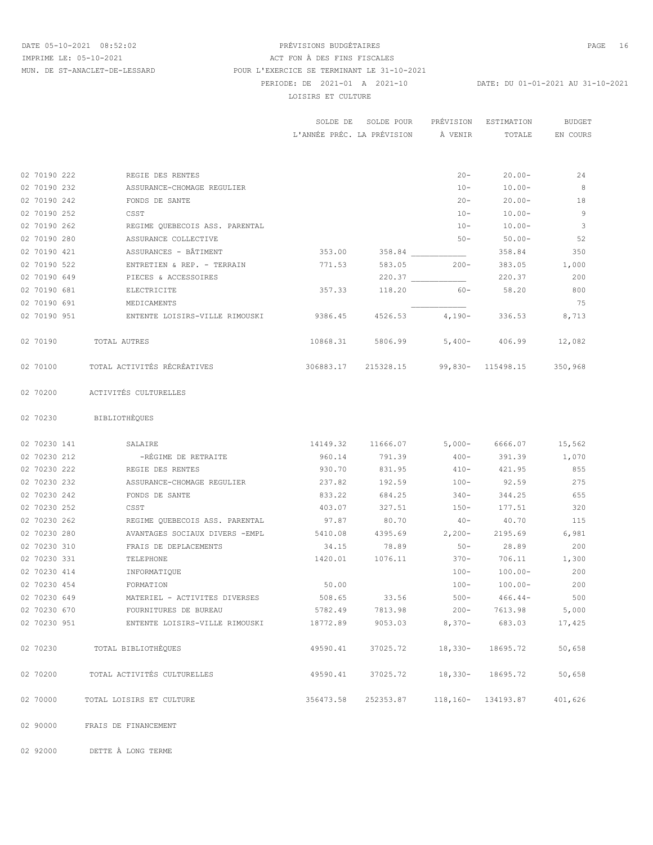# DATE 05-10-2021 08:52:02 PRÉVISIONS BUDGÉTAIRES PAGE 16 PERIODE: DE 2021-01 A 2021-10 DATE: DU 01-01-2021 AU 31-10-2021 LOISIRS ET CULTURE IMPRIME LE: 05-10-2021 <br>
ACT FON À DES FINS FISCALES MUN. DE ST-ANACLET-DE-LESSARD POUR L'EXERCICE SE TERMINANT LE 31-10-2021

|          |              |                                                                    |                                               | SOLDE DE SOLDE POUR<br>L'ANNÉE PRÉC. LA PRÉVISION À VENIR |                  | PRÉVISION ESTIMATION<br>TOTALE | <b>BUDGET</b><br>EN COURS |
|----------|--------------|--------------------------------------------------------------------|-----------------------------------------------|-----------------------------------------------------------|------------------|--------------------------------|---------------------------|
|          |              |                                                                    |                                               |                                                           |                  |                                |                           |
|          | 02 70190 222 | REGIE DES RENTES                                                   |                                               |                                                           |                  | $20 -$<br>$20.00 -$            | 24                        |
|          | 02 70190 232 | ASSURANCE-CHOMAGE REGULIER                                         |                                               |                                                           |                  | $10 - 10.00 -$                 | $_{\rm 8}$                |
|          | 02 70190 242 | FONDS DE SANTE                                                     |                                               |                                                           |                  | $20 - 20.00 -$                 | 18                        |
|          | 02 70190 252 | CSST                                                               |                                               |                                                           |                  | $10 - 10.00 -$                 | - 9                       |
|          | 02 70190 262 | REGIME QUEBECOIS ASS. PARENTAL                                     |                                               |                                                           |                  | $10 - 10.00 -$                 | $\overline{\phantom{a}}$  |
|          | 02 70190 280 | ASSURANCE COLLECTIVE                                               |                                               |                                                           |                  | $50 - 50.00 -$                 | 52                        |
|          | 02 70190 421 | ASSURANCES - BÂTIMENT                                              |                                               | $353.00$ $358.84$ 200 $358.84$ 358.84 350                 |                  |                                |                           |
|          | 02 70190 522 | ENTRETIEN & REP. - TERRAIN 6000 771.53 583.05 200- 383.05 1,000    |                                               |                                                           |                  |                                |                           |
|          | 02 70190 649 | PIECES & ACCESSOIRES                                               |                                               |                                                           |                  |                                | 200                       |
|          | 02 70190 681 | ELECTRICITE                                                        |                                               | 357.33 118.20 60- 58.20                                   |                  |                                | 800                       |
|          | 02 70190 691 | MEDICAMENTS                                                        |                                               |                                                           |                  |                                | 75                        |
|          | 02 70190 951 | ENTENTE LOISIRS-VILLE RIMOUSKI 8386.45 4526.53 4,190- 336.53 8,713 |                                               |                                                           |                  |                                |                           |
| 02 70190 |              | TOTAL AUTRES                                                       |                                               | 10868.31 5806.99 5,400- 406.99                            |                  |                                | 12,082                    |
| 02 70100 |              | TOTAL ACTIVITÉS RÉCRÉATIVES                                        | 306883.17 215328.15 99,830- 115498.15 350,968 |                                                           |                  |                                |                           |
| 02 70200 |              | ACTIVITÉS CULTURELLES                                              |                                               |                                                           |                  |                                |                           |
|          |              | 02 70230 BIBLIOTHÈQUES                                             |                                               |                                                           |                  |                                |                           |
|          | 02 70230 141 | SALAIRE                                                            |                                               | 14149.32 11666.07 5,000- 6666.07 15,562                   |                  |                                |                           |
|          | 02 70230 212 | -RÉGIME DE RETRAITE                                                |                                               | 960.14 791.39 400- 391.39 1,070                           |                  |                                |                           |
|          | 02 70230 222 | REGIE DES RENTES                                                   | 930.70                                        | 831.95                                                    | $410 - 421.95$   |                                | 855                       |
|          | 02 70230 232 | ASSURANCE-CHOMAGE REGULIER                                         | 237.82                                        | 192.59                                                    | $100 - 92.59$    |                                | 275                       |
|          | 02 70230 242 | FONDS DE SANTE                                                     | 833.22                                        | 684.25                                                    | $340 - 344.25$   |                                | 655                       |
|          | 02 70230 252 | CSST                                                               |                                               | 403.07 327.51                                             | $150 - 177.51$   |                                | 320                       |
|          | 02 70230 262 | REGIME QUEBECOIS ASS. PARENTAL 697.87 80.70                        |                                               |                                                           |                  | $40-40.70$ 115                 |                           |
|          | 02 70230 280 | AVANTAGES SOCIAUX DIVERS - EMPL 5410.08 4395.69 2,200-             |                                               |                                                           |                  | 2195.69 6,981                  |                           |
|          | 02 70230 310 | FRAIS DE DEPLACEMENTS                                              | 34.15                                         | 78.89                                                     | $50 -$           | 28.89                          | 200                       |
|          | 02 70230 331 | TELEPHONE                                                          |                                               | 1420.01 1076.11                                           |                  | $370 - 706.11$ 1,300           |                           |
|          | 02 70230 414 | INFORMATIQUE                                                       |                                               |                                                           |                  | $100 - 100.00 -$               | 200                       |
|          | 02 70230 454 | FORMATION                                                          | 50.00                                         |                                                           |                  | $100 - 100.00 -$               | 200                       |
|          | 02 70230 649 | MATERIEL - ACTIVITES DIVERSES                                      | 508.65                                        | 33.56                                                     | $500 -$          | $466.44-$                      | 500                       |
|          | 02 70230 670 | FOURNITURES DE BUREAU                                              | 5782.49                                       | 7813.98                                                   | $200 -$          | 7613.98                        | 5,000                     |
|          | 02 70230 951 | ENTENTE LOISIRS-VILLE RIMOUSKI                                     | 18772.89                                      |                                                           |                  | $9053.03$ $8,370-$ 683.03      | 17,425                    |
| 02 70230 |              | TOTAL BIBLIOTHÈQUES                                                | 49590.41                                      | 37025.72                                                  | $18,330-$        | 18695.72                       | 50,658                    |
| 02 70200 |              | TOTAL ACTIVITÉS CULTURELLES                                        | 49590.41                                      |                                                           | 37025.72 18,330- | 18695.72                       | 50,658                    |
| 02 70000 |              | TOTAL LOISIRS ET CULTURE                                           | 356473.58                                     | 252353.87                                                 |                  | 118, 160 - 134193.87           | 401,626                   |
|          |              |                                                                    |                                               |                                                           |                  |                                |                           |

02 90000 FRAIS DE FINANCEMENT

02 92000 DETTE À LONG TERME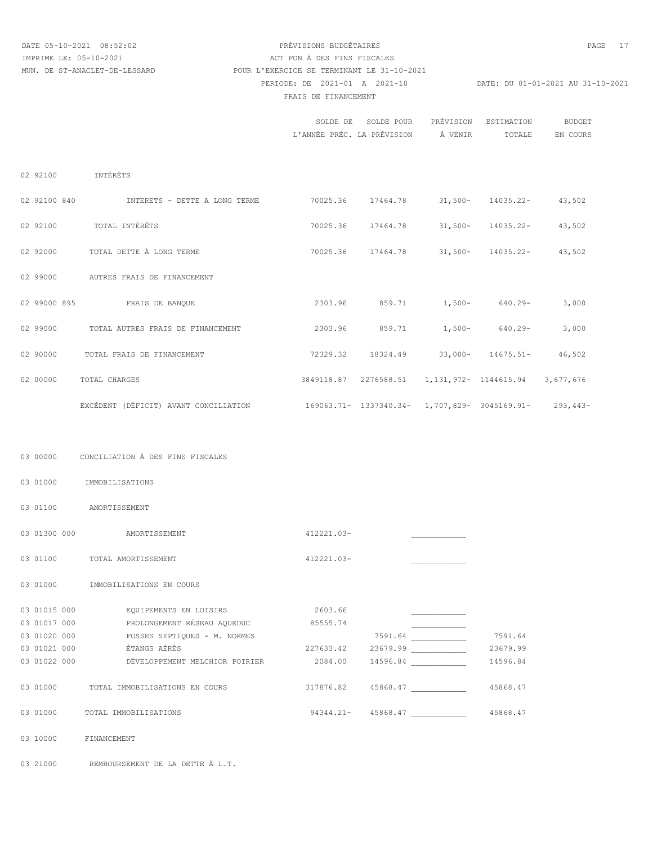### DATE 05-10-2021 08:52:02 PRÉVISIONS BUDGÉTAIRES PAGE 17 PERIODE: DE 2021-01 A 2021-10 DATE: DU 01-01-2021 AU 31-10-2021 FRAIS DE FINANCEMENT IMPRIME LE: 05-10-2021 ACT FON À DES FINS FISCALES MUN. DE ST-ANACLET-DE-LESSARD POUR L'EXERCICE SE TERMINANT LE 31-10-2021

|              |                                          | SOLDE DE                                      | SOLDE POUR | PRÉVISION | ESTIMATION                                        | <b>BUDGET</b> |
|--------------|------------------------------------------|-----------------------------------------------|------------|-----------|---------------------------------------------------|---------------|
|              |                                          | L'ANNÉE PRÉC. LA PRÉVISION                    |            | À VENIR   | TOTALE                                            | EN COURS      |
|              |                                          |                                               |            |           |                                                   |               |
|              |                                          |                                               |            |           |                                                   |               |
| 02 92100     | INTÉRÊTS                                 |                                               |            |           |                                                   |               |
| 02 92100 840 | INTERETS - DETTE A LONG TERME            | 70025.36                                      |            |           | 17464.78 31,500- 14035.22- 43,502                 |               |
| 02 92100     | TOTAL INTÉRÊTS                           | 70025.36                                      |            |           | $17464.78$ 31,500- 14035.22-                      | 43,502        |
| 02 92000     | TOTAL DETTE À LONG TERME                 | 70025.36                                      |            |           | $17464.78$ 31,500- 14035.22-                      | 43,502        |
| 02 99000     | AUTRES FRAIS DE FINANCEMENT              |                                               |            |           |                                                   |               |
| 02 99000 895 | FRAIS DE BANQUE                          |                                               |            |           | 2303.96 859.71 1,500- 640.29-                     | 3,000         |
| 02 99000     | TOTAL AUTRES FRAIS DE FINANCEMENT        | 2303.96                                       | 859.71     |           | $1,500-640.29-$                                   | 3,000         |
| 02 90000     | TOTAL FRAIS DE FINANCEMENT               | 72329.32                                      |            |           | 18324.49 33,000- 14675.51-                        | 46,502        |
| 02 00000     | <b>TOTAL CHARGES</b>                     |                                               |            |           | 3849118.87   2276588.51   1,131,972-   1144615.94 | 3,677,676     |
|              | EXCÉDENT (DÉFICIT) AVANT CONCILIATION    | 169063.71- 1337340.34- 1,707,829- 3045169.91- |            |           |                                                   | $293,443-$    |
|              |                                          |                                               |            |           |                                                   |               |
| 03 00000     | CONCILIATION À DES FINS FISCALES         |                                               |            |           |                                                   |               |
| 03 01000     | IMMOBILISATIONS                          |                                               |            |           |                                                   |               |
| 03 01100     | AMORTISSEMENT                            |                                               |            |           |                                                   |               |
| 03 01300 000 | AMORTISSEMENT                            | 412221.03-                                    |            |           |                                                   |               |
| 03 01100     | TOTAL AMORTISSEMENT                      | 412221.03-                                    |            |           |                                                   |               |
| 03 01000     | IMMOBILISATIONS EN COURS                 |                                               |            |           |                                                   |               |
| 03 01015 000 | EQUIPEMENTS EN LOISIRS                   | 2603.66                                       |            |           |                                                   |               |
|              | 03 01017 000 PROLONGEMENT RÉSEAU AQUEDUC | 85555.74                                      |            |           |                                                   |               |
| 03 01020 000 | FOSSES SEPTIQUES - M. NORMES             |                                               |            | 7591.64   | 7591.64                                           |               |
| 03 01021 000 | ÉTANGS AÉRÉS                             | 227633.42                                     |            | 23679.99  | 23679.99                                          |               |
| 03 01022 000 | DÉVELOPPEMENT MELCHIOR POIRIER           | 2084.00                                       |            | 14596.84  | 14596.84                                          |               |
| 03 01000     | TOTAL IMMOBILISATIONS EN COURS           | 317876.82                                     |            | 45868.47  | 45868.47                                          |               |
| 03 01000     | TOTAL IMMOBILISATIONS                    | 94344.21-                                     |            | 45868.47  | 45868.47                                          |               |

03 10000 FINANCEMENT

03 21000 REMBOURSEMENT DE LA DETTE À L.T.